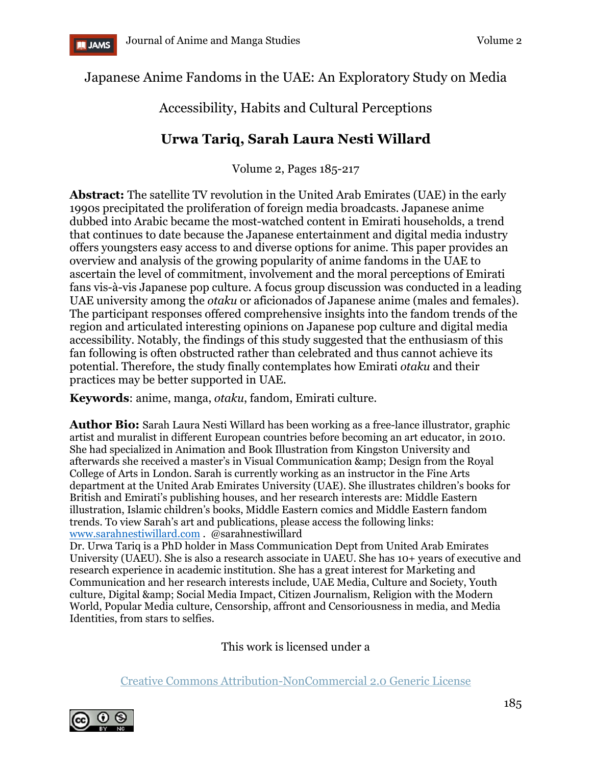

Japanese Anime Fandoms in the UAE: An Exploratory Study on Media

# Accessibility, Habits and Cultural Perceptions

# **Urwa Tariq, Sarah Laura Nesti Willard**

Volume 2, Pages 185-217

**Abstract:** The satellite TV revolution in the United Arab Emirates (UAE) in the early 1990s precipitated the proliferation of foreign media broadcasts. Japanese anime dubbed into Arabic became the most-watched content in Emirati households, a trend that continues to date because the Japanese entertainment and digital media industry offers youngsters easy access to and diverse options for anime. This paper provides an overview and analysis of the growing popularity of anime fandoms in the UAE to ascertain the level of commitment, involvement and the moral perceptions of Emirati fans vis-à-vis Japanese pop culture. A focus group discussion was conducted in a leading UAE university among the *otaku* or aficionados of Japanese anime (males and females). The participant responses offered comprehensive insights into the fandom trends of the region and articulated interesting opinions on Japanese pop culture and digital media accessibility. Notably, the findings of this study suggested that the enthusiasm of this fan following is often obstructed rather than celebrated and thus cannot achieve its potential. Therefore, the study finally contemplates how Emirati *otaku* and their practices may be better supported in UAE.

**Keywords**: anime, manga, *otaku*, fandom, Emirati culture.

**Author Bio:** Sarah Laura Nesti Willard has been working as a free-lance illustrator, graphic artist and muralist in different European countries before becoming an art educator, in 2010. She had specialized in Animation and Book Illustration from Kingston University and afterwards she received a master's in Visual Communication & amp; Design from the Royal College of Arts in London. Sarah is currently working as an instructor in the Fine Arts department at the United Arab Emirates University (UAE). She illustrates children's books for British and Emirati's publishing houses, and her research interests are: Middle Eastern illustration, Islamic children's books, Middle Eastern comics and Middle Eastern fandom trends. To view Sarah's art and publications, please access the following links: [www.sarahnestiwillard.com](http://www.sarahnestiwillard.com/) . @sarahnestiwillard

Dr. Urwa Tariq is a PhD holder in Mass Communication Dept from United Arab Emirates University (UAEU). She is also a research associate in UAEU. She has 10+ years of executive and research experience in academic institution. She has a great interest for Marketing and Communication and her research interests include, UAE Media, Culture and Society, Youth culture, Digital & amp; Social Media Impact, Citizen Journalism, Religion with the Modern World, Popular Media culture, Censorship, affront and Censoriousness in media, and Media Identities, from stars to selfies.

This work is licensed under a

[Creative Commons Attribution-NonCommercial 2.0 Generic License](https://creativecommons.org/licenses/by-nc/2.0/)

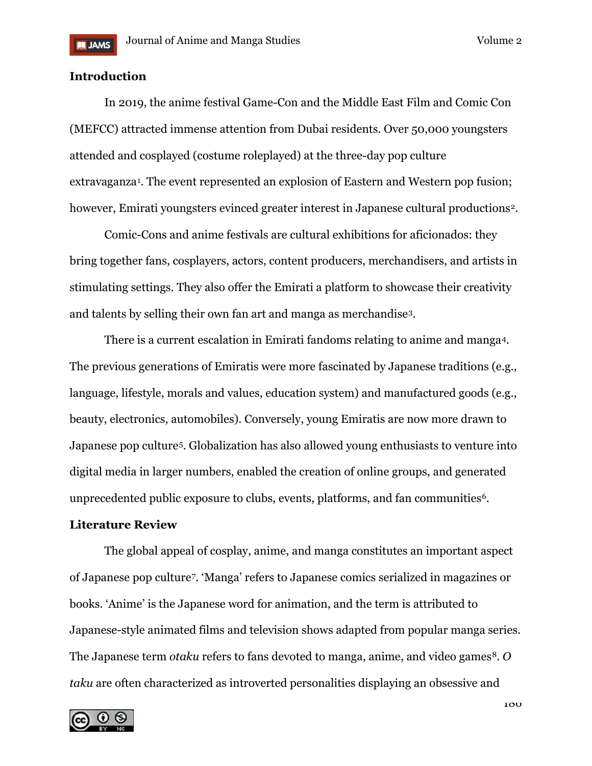# **Introduction**

In 2019, the anime festival Game-Con and the Middle East Film and Comic Con (MEFCC) attracted immense attention from Dubai residents. Over 50,000 youngsters attended and cosplayed (costume roleplayed) at the three-day pop culture extravaganza[1.](#page-22-0) The event represented an explosion of Eastern and Western pop fusion; however, Emirati youngsters evinced greater interest in Japanese cultural productions<sup>2</sup>.

Comic-Cons and anime festivals are cultural exhibitions for aficionados: they bring together fans, cosplayers, actors, content producers, merchandisers, and artists in stimulating settings. They also offer the Emirati a platform to showcase their creativity and talents by selling their own fan art and manga as merchandise[3.](#page-22-2)

There is a current escalation in Emirati fandoms relating to anime and manga[4.](#page-22-3) The previous generations of Emiratis were more fascinated by Japanese traditions (e.g., language, lifestyle, morals and values, education system) and manufactured goods (e.g., beauty, electronics, automobiles). Conversely, young Emiratis are now more drawn to Japanese pop culture<sup>[5](#page-22-4)</sup>. Globalization has also allowed young enthusiasts to venture into digital media in larger numbers, enabled the creation of online groups, and generated unprecedented public exposure to clubs, events, platforms, and fan communities<sup>[6](#page-22-5)</sup>.

## **Literature Review**

The global appeal of cosplay, anime, and manga constitutes an important aspect of Japanese pop culture[7](#page-22-6). 'Manga' refers to Japanese comics serialized in magazines or books. 'Anime' is the Japanese word for animation, and the term is attributed to Japanese-style animated films and television shows adapted from popular manga series. The Japanese term *otaku* refers to fans devoted to manga, anime, and video games<sup>8</sup>. *O taku* are often characterized as introverted personalities displaying an obsessive and

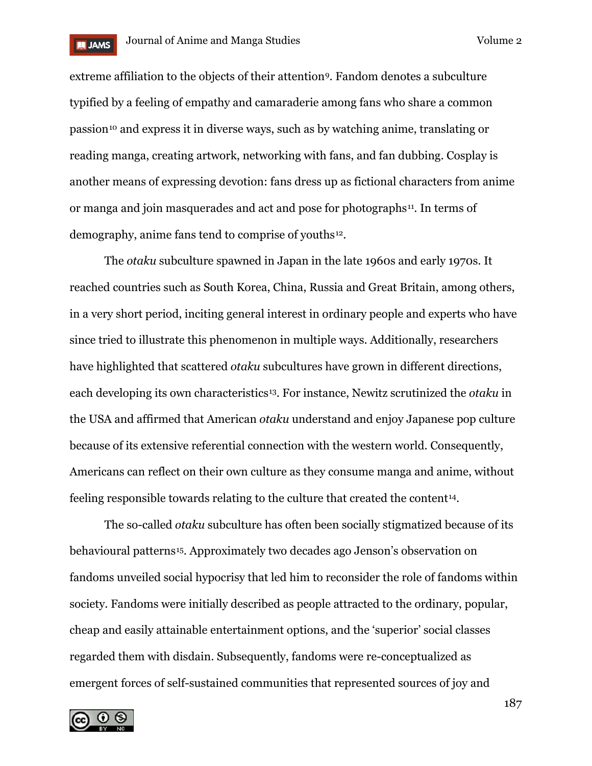

extreme affiliation to the objects of their attention<sup>9</sup>. Fandom denotes a subculture typified by a feeling of empathy and camaraderie among fans who share a common passion[10](#page-22-9) and express it in diverse ways, such as by watching anime, translating or reading manga, creating artwork, networking with fans, and fan dubbing. Cosplay is another means of expressing devotion: fans dress up as fictional characters from anime or manga and join masquerades and act and pose for photographs[11](#page-22-10). In terms of demography, anime fans tend to comprise of youths[12.](#page-22-11)

The *otaku* subculture spawned in Japan in the late 1960s and early 1970s. It reached countries such as South Korea, China, Russia and Great Britain, among others, in a very short period, inciting general interest in ordinary people and experts who have since tried to illustrate this phenomenon in multiple ways. Additionally, researchers have highlighted that scattered *otaku* subcultures have grown in different directions, each developing its own characteristics<sup>[13](#page-22-12)</sup>. For instance, Newitz scrutinized the *otaku* in the USA and affirmed that American *otaku* understand and enjoy Japanese pop culture because of its extensive referential connection with the western world. Consequently, Americans can reflect on their own culture as they consume manga and anime, without feeling responsible towards relating to the culture that created the content<sup>[14](#page-22-13)</sup>.

The so-called *otaku* subculture has often been socially stigmatized because of its behavioural patterns[15.](#page-22-14) Approximately two decades ago Jenson's observation on fandoms unveiled social hypocrisy that led him to reconsider the role of fandoms within society. Fandoms were initially described as people attracted to the ordinary, popular, cheap and easily attainable entertainment options, and the 'superior' social classes regarded them with disdain. Subsequently, fandoms were re-conceptualized as emergent forces of self-sustained communities that represented sources of joy and

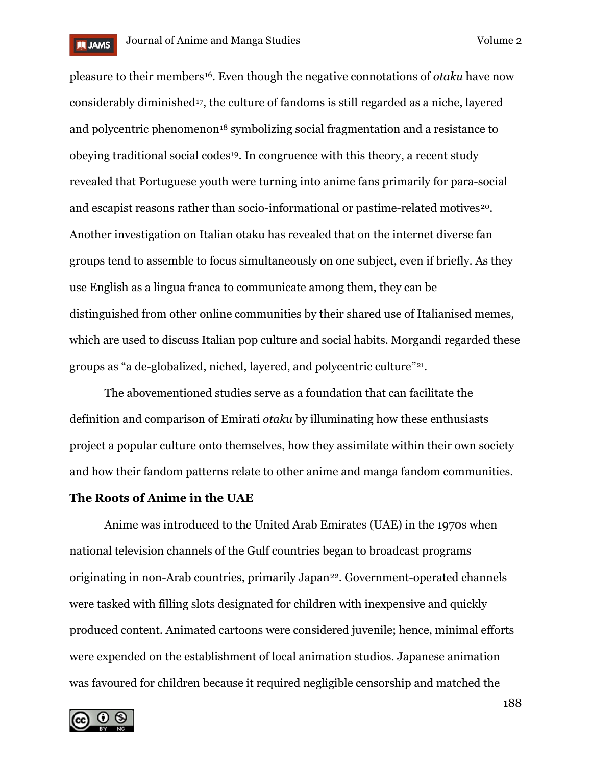

pleasure to their members[16.](#page-23-0) Even though the negative connotations of *otaku* have now considerably diminished<sup>[17](#page-23-1)</sup>, the culture of fandoms is still regarded as a niche, layered and polycentric phenomenon<sup>[18](#page-23-2)</sup> symbolizing social fragmentation and a resistance to obeying traditional social codes[19.](#page-23-3) In congruence with this theory, a recent study revealed that Portuguese youth were turning into anime fans primarily for para-social and escapist reasons rather than socio-informational or pastime-related motives<sup>[20](#page-23-4)</sup>. Another investigation on Italian otaku has revealed that on the internet diverse fan groups tend to assemble to focus simultaneously on one subject, even if briefly. As they use English as a lingua franca to communicate among them, they can be distinguished from other online communities by their shared use of Italianised memes, which are used to discuss Italian pop culture and social habits. Morgandi regarded these groups as "a de-globalized, niched, layered, and polycentric culture"[21.](#page-23-5)

The abovementioned studies serve as a foundation that can facilitate the definition and comparison of Emirati *otaku* by illuminating how these enthusiasts project a popular culture onto themselves, how they assimilate within their own society and how their fandom patterns relate to other anime and manga fandom communities.

### **The Roots of Anime in the UAE**

Anime was introduced to the United Arab Emirates (UAE) in the 1970s when national television channels of the Gulf countries began to broadcast programs originating in non-Arab countries, primarily Japan<sup>[22](#page-23-6)</sup>. Government-operated channels were tasked with filling slots designated for children with inexpensive and quickly produced content. Animated cartoons were considered juvenile; hence, minimal efforts were expended on the establishment of local animation studios. Japanese animation was favoured for children because it required negligible censorship and matched the

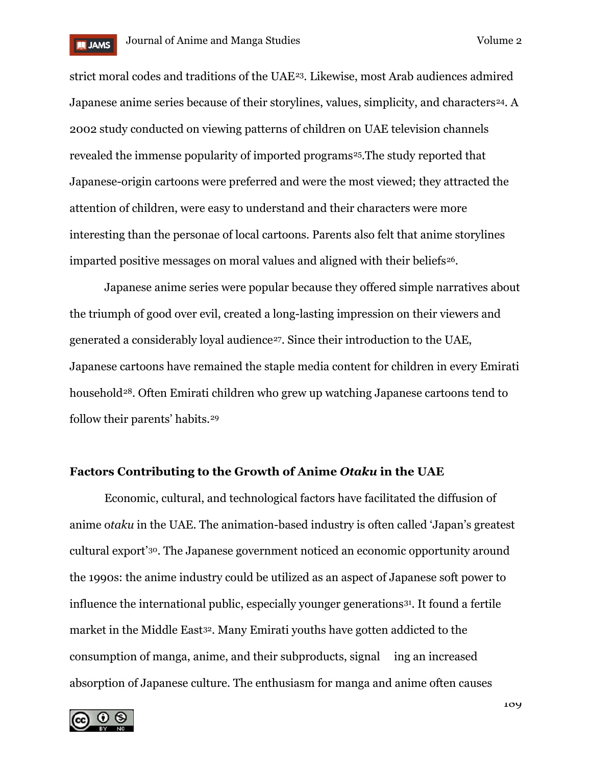

strict moral codes and traditions of the UAE[23](#page-23-7). Likewise, most Arab audiences admired Japanese anime series because of their storylines, values, simplicity, and characters<sup>[24](#page-23-8)</sup>. A 2002 study conducted on viewing patterns of children on UAE television channels revealed the immense popularity of imported programs<sup>[25](#page-23-9)</sup>. The study reported that Japanese-origin cartoons were preferred and were the most viewed; they attracted the attention of children, were easy to understand and their characters were more interesting than the personae of local cartoons. Parents also felt that anime storylines imparted positive messages on moral values and aligned with their beliefs[26.](#page-23-10)

Japanese anime series were popular because they offered simple narratives about the triumph of good over evil, created a long-lasting impression on their viewers and generated a considerably loyal audience<sup>[27](#page-23-11)</sup>. Since their introduction to the UAE, Japanese cartoons have remained the staple media content for children in every Emirati household<sup>28</sup>. Often Emirati children who grew up watching Japanese cartoons tend to follow their parents' habits.[29](#page-23-13)

# **Factors Contributing to the Growth of Anime** *Otaku* **in the UAE**

Economic, cultural, and technological factors have facilitated the diffusion of anime o*taku* in the UAE. The animation-based industry is often called 'Japan's greatest cultural export'[30.](#page-23-14) The Japanese government noticed an economic opportunity around the 1990s: the anime industry could be utilized as an aspect of Japanese soft power to influence the international public, especially younger generations[31.](#page-23-15) It found a fertile market in the Middle East<sup>[32](#page-23-16)</sup>. Many Emirati youths have gotten addicted to the consumption of manga, anime, and their subproducts, signal ing an increased absorption of Japanese culture. The enthusiasm for manga and anime often causes

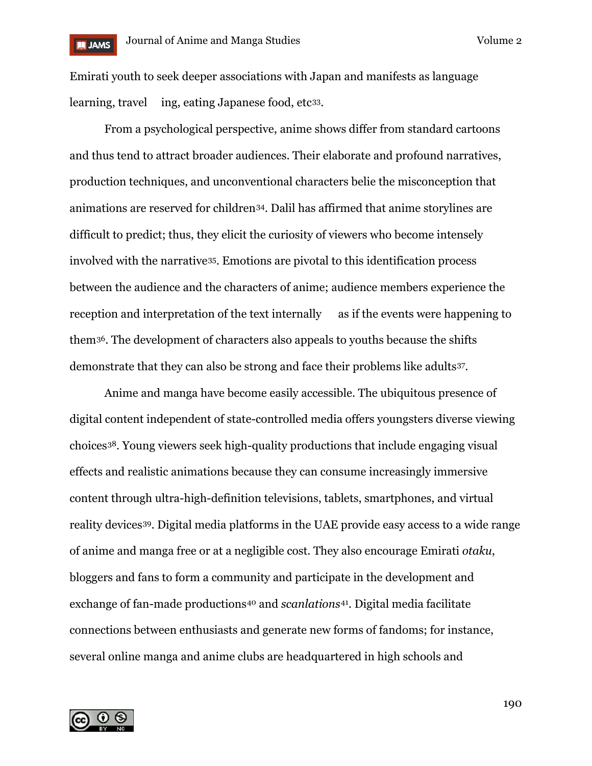

Emirati youth to seek deeper associations with Japan and manifests as language learning, travel ing, eating Japanese food, etc<sup>33</sup>.

From a psychological perspective, anime shows differ from standard cartoons and thus tend to attract broader audiences. Their elaborate and profound narratives, production techniques, and unconventional characters belie the misconception that animations are reserved for children[34.](#page-23-18) Dalil has affirmed that anime storylines are difficult to predict; thus, they elicit the curiosity of viewers who become intensely involved with the narrative[35.](#page-24-0) Emotions are pivotal to this identification process between the audience and the characters of anime; audience members experience the reception and interpretation of the text internally as if the events were happening to them[36.](#page-24-1) The development of characters also appeals to youths because the shifts demonstrate that they can also be strong and face their problems like adults[37](#page-24-2).

Anime and manga have become easily accessible. The ubiquitous presence of digital content independent of state-controlled media offers youngsters diverse viewing choices[38](#page-24-3). Young viewers seek high-quality productions that include engaging visual effects and realistic animations because they can consume increasingly immersive content through ultra-high-definition televisions, tablets, smartphones, and virtual reality devices[39.](#page-24-4) Digital media platforms in the UAE provide easy access to a wide range of anime and manga free or at a negligible cost. They also encourage Emirati *otaku*, bloggers and fans to form a community and participate in the development and exchange of fan-made productions<sup>[40](#page-24-5)</sup> and *scanlations*<sup>41</sup>. Digital media facilitate connections between enthusiasts and generate new forms of fandoms; for instance, several online manga and anime clubs are headquartered in high schools and

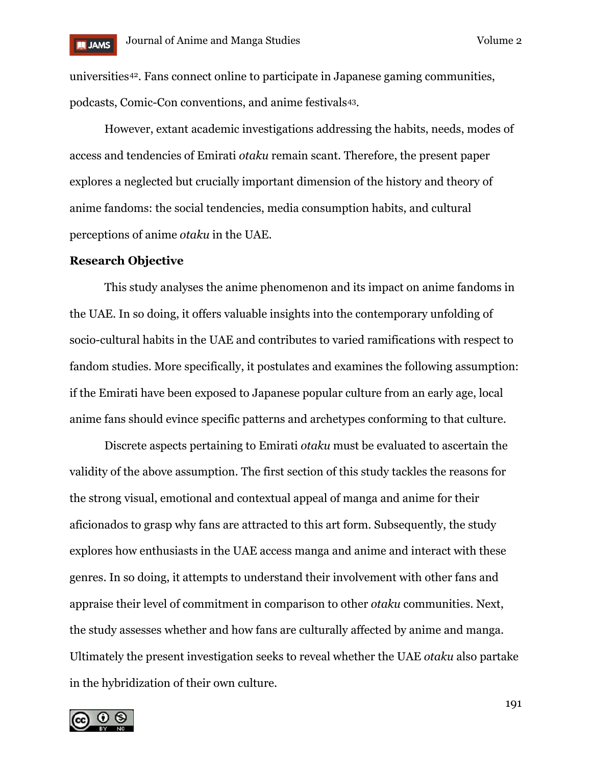

universities[42.](#page-24-7) Fans connect online to participate in Japanese gaming communities, podcasts, Comic-Con conventions, and anime festivals[43.](#page-24-8)

However, extant academic investigations addressing the habits, needs, modes of access and tendencies of Emirati *otaku* remain scant. Therefore, the present paper explores a neglected but crucially important dimension of the history and theory of anime fandoms: the social tendencies, media consumption habits, and cultural perceptions of anime *otaku* in the UAE.

#### **Research Objective**

This study analyses the anime phenomenon and its impact on anime fandoms in the UAE. In so doing, it offers valuable insights into the contemporary unfolding of socio-cultural habits in the UAE and contributes to varied ramifications with respect to fandom studies. More specifically, it postulates and examines the following assumption: if the Emirati have been exposed to Japanese popular culture from an early age, local anime fans should evince specific patterns and archetypes conforming to that culture.

Discrete aspects pertaining to Emirati *otaku* must be evaluated to ascertain the validity of the above assumption. The first section of this study tackles the reasons for the strong visual, emotional and contextual appeal of manga and anime for their aficionados to grasp why fans are attracted to this art form. Subsequently, the study explores how enthusiasts in the UAE access manga and anime and interact with these genres. In so doing, it attempts to understand their involvement with other fans and appraise their level of commitment in comparison to other *otaku* communities. Next, the study assesses whether and how fans are culturally affected by anime and manga. Ultimately the present investigation seeks to reveal whether the UAE *otaku* also partake in the hybridization of their own culture.

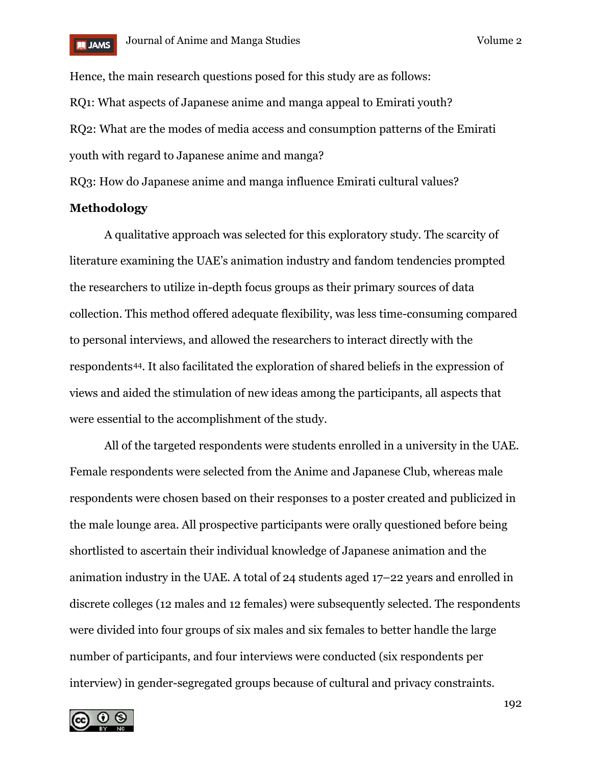

Hence, the main research questions posed for this study are as follows: RQ1: What aspects of Japanese anime and manga appeal to Emirati youth? RQ2: What are the modes of media access and consumption patterns of the Emirati youth with regard to Japanese anime and manga?

RQ3: How do Japanese anime and manga influence Emirati cultural values?

# **Methodology**

A qualitative approach was selected for this exploratory study. The scarcity of literature examining the UAE's animation industry and fandom tendencies prompted the researchers to utilize in-depth focus groups as their primary sources of data collection. This method offered adequate flexibility, was less time-consuming compared to personal interviews, and allowed the researchers to interact directly with the respondents[44.](#page-24-9) It also facilitated the exploration of shared beliefs in the expression of views and aided the stimulation of new ideas among the participants, all aspects that were essential to the accomplishment of the study.

All of the targeted respondents were students enrolled in a university in the UAE. Female respondents were selected from the Anime and Japanese Club, whereas male respondents were chosen based on their responses to a poster created and publicized in the male lounge area. All prospective participants were orally questioned before being shortlisted to ascertain their individual knowledge of Japanese animation and the animation industry in the UAE. A total of 24 students aged 17–22 years and enrolled in discrete colleges (12 males and 12 females) were subsequently selected. The respondents were divided into four groups of six males and six females to better handle the large number of participants, and four interviews were conducted (six respondents per interview) in gender-segregated groups because of cultural and privacy constraints.

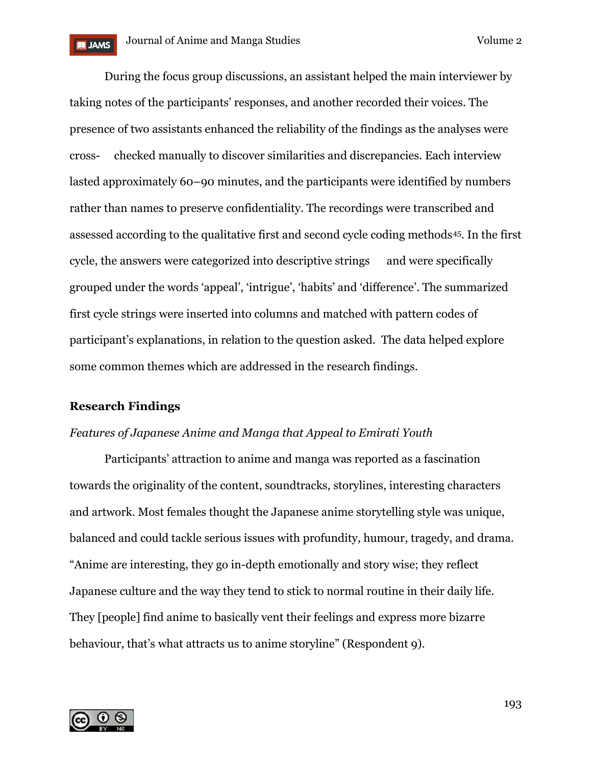During the focus group discussions, an assistant helped the main interviewer by taking notes of the participants' responses, and another recorded their voices. The presence of two assistants enhanced the reliability of the findings as the analyses were cross- checked manually to discover similarities and discrepancies. Each interview lasted approximately 60–90 minutes, and the participants were identified by numbers rather than names to preserve confidentiality. The recordings were transcribed and assessed according to the qualitative first and second cycle coding methods[45](#page-24-10). In the first cycle, the answers were categorized into descriptive strings and were specifically grouped under the words 'appeal', 'intrigue', 'habits' and 'difference'. The summarized first cycle strings were inserted into columns and matched with pattern codes of participant's explanations, in relation to the question asked. The data helped explore some common themes which are addressed in the research findings.

#### **Research Findings**

# *Features of Japanese Anime and Manga that Appeal to Emirati Youth*

Participants' attraction to anime and manga was reported as a fascination towards the originality of the content, soundtracks, storylines, interesting characters and artwork. Most females thought the Japanese anime storytelling style was unique, balanced and could tackle serious issues with profundity, humour, tragedy, and drama. "Anime are interesting, they go in-depth emotionally and story wise; they reflect Japanese culture and the way they tend to stick to normal routine in their daily life. They [people] find anime to basically vent their feelings and express more bizarre behaviour, that's what attracts us to anime storyline" (Respondent 9).

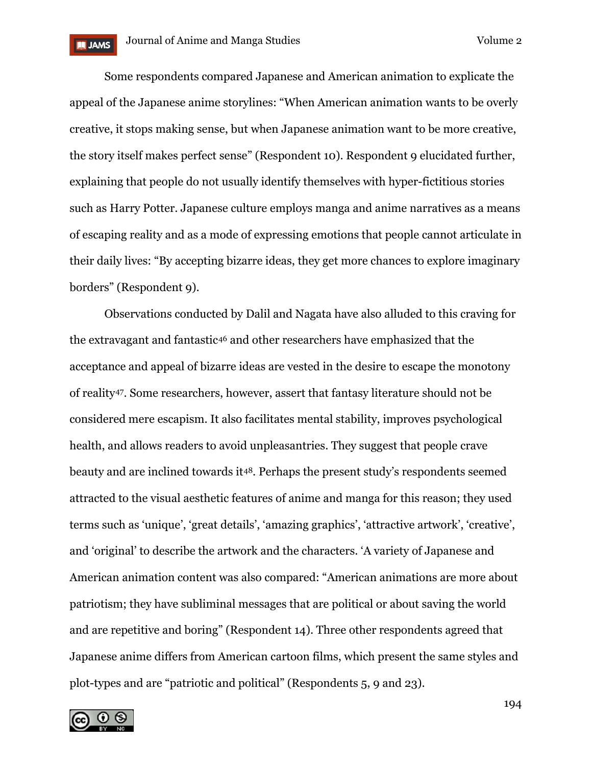Some respondents compared Japanese and American animation to explicate the appeal of the Japanese anime storylines: "When American animation wants to be overly creative, it stops making sense, but when Japanese animation want to be more creative, the story itself makes perfect sense" (Respondent 10). Respondent 9 elucidated further, explaining that people do not usually identify themselves with hyper-fictitious stories such as Harry Potter. Japanese culture employs manga and anime narratives as a means of escaping reality and as a mode of expressing emotions that people cannot articulate in their daily lives: "By accepting bizarre ideas, they get more chances to explore imaginary borders" (Respondent 9).

Observations conducted by Dalil and Nagata have also alluded to this craving for the extravagant and fantastic[46](#page-24-11) and other researchers have emphasized that the acceptance and appeal of bizarre ideas are vested in the desire to escape the monotony of reality[47](#page-24-12). Some researchers, however, assert that fantasy literature should not be considered mere escapism. It also facilitates mental stability, improves psychological health, and allows readers to avoid unpleasantries. They suggest that people crave beauty and are inclined towards it[48](#page-24-13). Perhaps the present study's respondents seemed attracted to the visual aesthetic features of anime and manga for this reason; they used terms such as 'unique', 'great details', 'amazing graphics', 'attractive artwork', 'creative', and 'original' to describe the artwork and the characters. 'A variety of Japanese and American animation content was also compared: "American animations are more about patriotism; they have subliminal messages that are political or about saving the world and are repetitive and boring" (Respondent 14). Three other respondents agreed that Japanese anime differs from American cartoon films, which present the same styles and plot-types and are "patriotic and political" (Respondents 5, 9 and 23).



194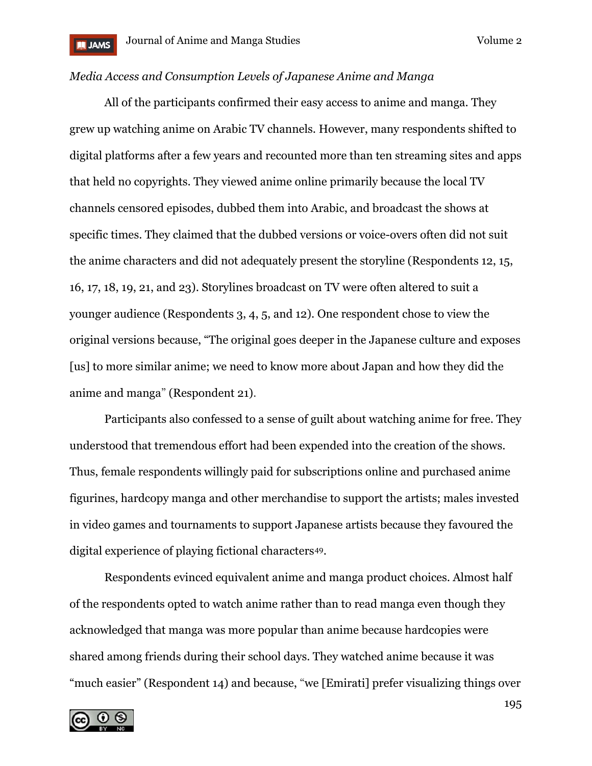# *Media Access and Consumption Levels of Japanese Anime and Manga*

All of the participants confirmed their easy access to anime and manga. They grew up watching anime on Arabic TV channels. However, many respondents shifted to digital platforms after a few years and recounted more than ten streaming sites and apps that held no copyrights. They viewed anime online primarily because the local TV channels censored episodes, dubbed them into Arabic, and broadcast the shows at specific times. They claimed that the dubbed versions or voice-overs often did not suit the anime characters and did not adequately present the storyline (Respondents 12, 15, 16, 17, 18, 19, 21, and 23). Storylines broadcast on TV were often altered to suit a younger audience (Respondents 3, 4, 5, and 12). One respondent chose to view the original versions because, "The original goes deeper in the Japanese culture and exposes [us] to more similar anime; we need to know more about Japan and how they did the anime and manga" (Respondent 21)*.*

Participants also confessed to a sense of guilt about watching anime for free. They understood that tremendous effort had been expended into the creation of the shows. Thus, female respondents willingly paid for subscriptions online and purchased anime figurines, hardcopy manga and other merchandise to support the artists; males invested in video games and tournaments to support Japanese artists because they favoured the digital experience of playing fictional characters[49.](#page-25-0)

Respondents evinced equivalent anime and manga product choices. Almost half of the respondents opted to watch anime rather than to read manga even though they acknowledged that manga was more popular than anime because hardcopies were shared among friends during their school days. They watched anime because it was "much easier" (Respondent 14) and because, "we [Emirati] prefer visualizing things over

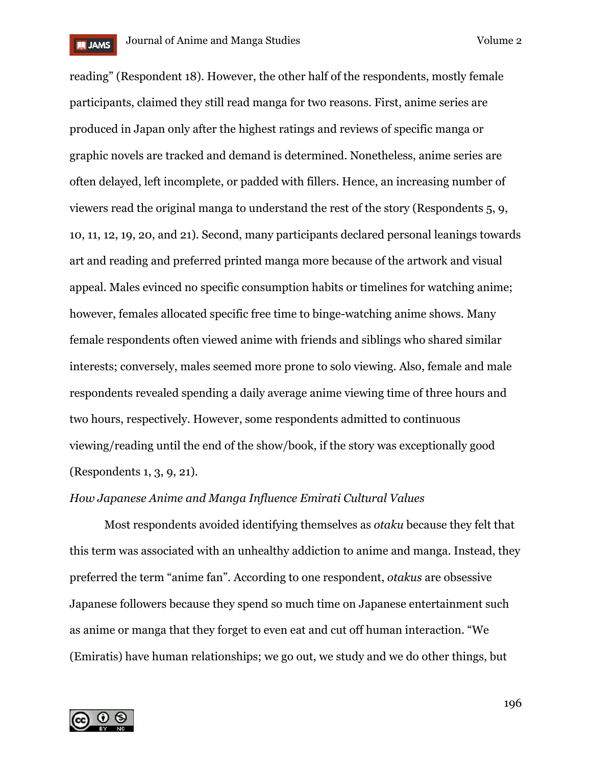

reading" (Respondent 18). However, the other half of the respondents, mostly female participants, claimed they still read manga for two reasons. First, anime series are produced in Japan only after the highest ratings and reviews of specific manga or graphic novels are tracked and demand is determined. Nonetheless, anime series are often delayed, left incomplete, or padded with fillers. Hence, an increasing number of viewers read the original manga to understand the rest of the story (Respondents 5, 9, 10, 11, 12, 19, 20, and 21). Second, many participants declared personal leanings towards art and reading and preferred printed manga more because of the artwork and visual appeal. Males evinced no specific consumption habits or timelines for watching anime; however, females allocated specific free time to binge-watching anime shows. Many female respondents often viewed anime with friends and siblings who shared similar interests; conversely, males seemed more prone to solo viewing. Also, female and male respondents revealed spending a daily average anime viewing time of three hours and two hours, respectively. However, some respondents admitted to continuous viewing/reading until the end of the show/book, if the story was exceptionally good (Respondents 1, 3, 9, 21).

#### *How Japanese Anime and Manga Influence Emirati Cultural Values*

Most respondents avoided identifying themselves as *otaku* because they felt that this term was associated with an unhealthy addiction to anime and manga. Instead, they preferred the term "anime fan". According to one respondent, *otakus* are obsessive Japanese followers because they spend so much time on Japanese entertainment such as anime or manga that they forget to even eat and cut off human interaction. "We (Emiratis) have human relationships; we go out, we study and we do other things, but

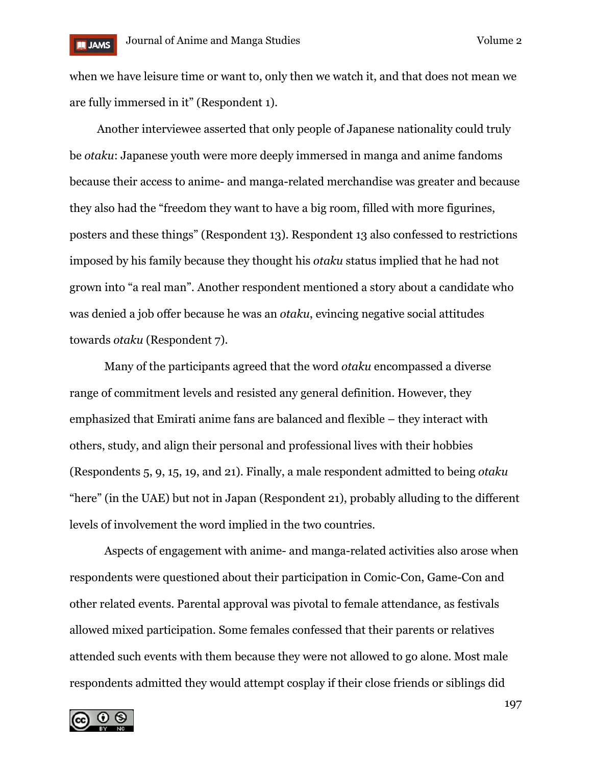when we have leisure time or want to, only then we watch it, and that does not mean we are fully immersed in it" (Respondent 1).

Another interviewee asserted that only people of Japanese nationality could truly be *otaku*: Japanese youth were more deeply immersed in manga and anime fandoms because their access to anime- and manga-related merchandise was greater and because they also had the "freedom they want to have a big room, filled with more figurines, posters and these things" (Respondent 13). Respondent 13 also confessed to restrictions imposed by his family because they thought his *otaku* status implied that he had not grown into "a real man". Another respondent mentioned a story about a candidate who was denied a job offer because he was an *otaku*, evincing negative social attitudes towards *otaku* (Respondent 7).

Many of the participants agreed that the word *otaku* encompassed a diverse range of commitment levels and resisted any general definition. However, they emphasized that Emirati anime fans are balanced and flexible – they interact with others, study, and align their personal and professional lives with their hobbies (Respondents 5, 9, 15, 19, and 21). Finally, a male respondent admitted to being *otaku*  "here" (in the UAE) but not in Japan (Respondent 21), probably alluding to the different levels of involvement the word implied in the two countries.

Aspects of engagement with anime- and manga-related activities also arose when respondents were questioned about their participation in Comic-Con, Game-Con and other related events. Parental approval was pivotal to female attendance, as festivals allowed mixed participation. Some females confessed that their parents or relatives attended such events with them because they were not allowed to go alone. Most male respondents admitted they would attempt cosplay if their close friends or siblings did

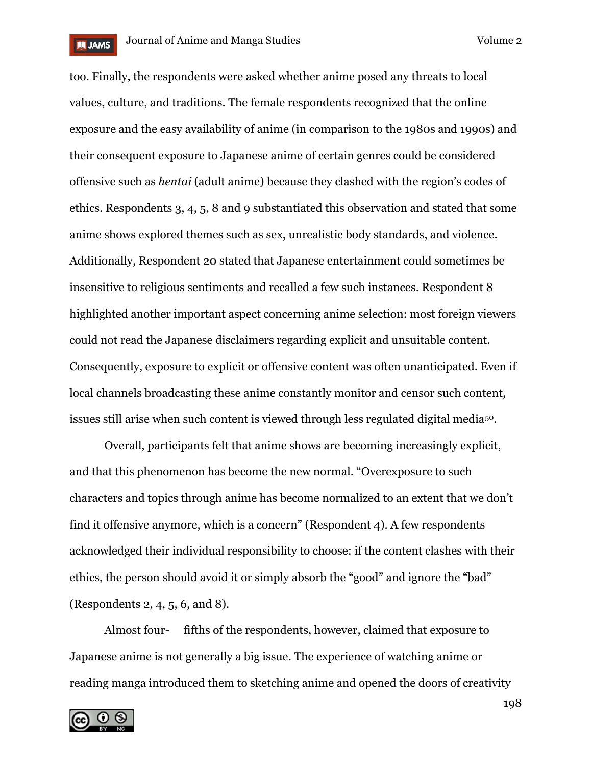

too. Finally, the respondents were asked whether anime posed any threats to local values, culture, and traditions. The female respondents recognized that the online exposure and the easy availability of anime (in comparison to the 1980s and 1990s) and their consequent exposure to Japanese anime of certain genres could be considered offensive such as *hentai* (adult anime) because they clashed with the region's codes of ethics. Respondents 3, 4, 5, 8 and 9 substantiated this observation and stated that some anime shows explored themes such as sex, unrealistic body standards, and violence. Additionally, Respondent 20 stated that Japanese entertainment could sometimes be insensitive to religious sentiments and recalled a few such instances. Respondent 8 highlighted another important aspect concerning anime selection: most foreign viewers could not read the Japanese disclaimers regarding explicit and unsuitable content. Consequently, exposure to explicit or offensive content was often unanticipated. Even if local channels broadcasting these anime constantly monitor and censor such content, issues still arise when such content is viewed through less regulated digital media[50.](#page-25-1)

Overall, participants felt that anime shows are becoming increasingly explicit, and that this phenomenon has become the new normal. "Overexposure to such characters and topics through anime has become normalized to an extent that we don't find it offensive anymore, which is a concern" (Respondent 4). A few respondents acknowledged their individual responsibility to choose: if the content clashes with their ethics, the person should avoid it or simply absorb the "good" and ignore the "bad" (Respondents 2, 4, 5, 6, and 8).

Almost four- fifths of the respondents, however, claimed that exposure to Japanese anime is not generally a big issue. The experience of watching anime or reading manga introduced them to sketching anime and opened the doors of creativity

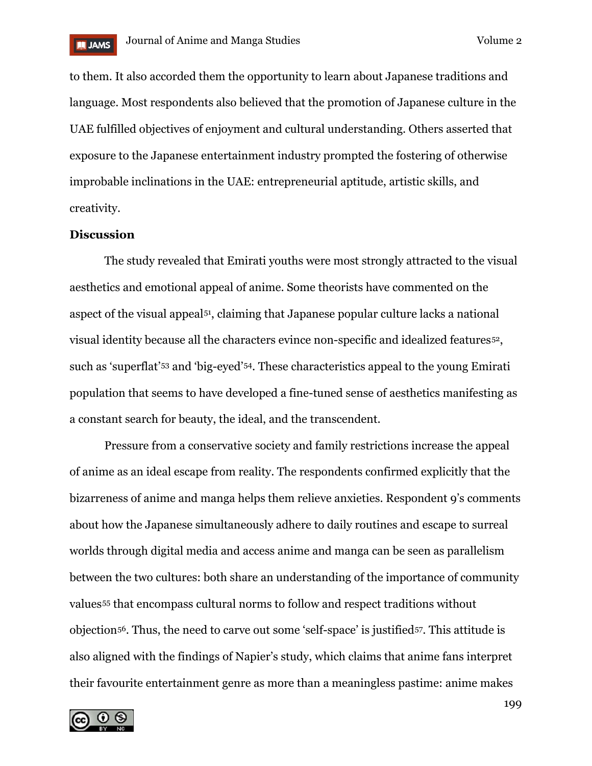

to them. It also accorded them the opportunity to learn about Japanese traditions and language. Most respondents also believed that the promotion of Japanese culture in the UAE fulfilled objectives of enjoyment and cultural understanding. Others asserted that exposure to the Japanese entertainment industry prompted the fostering of otherwise improbable inclinations in the UAE: entrepreneurial aptitude, artistic skills, and creativity.

# **Discussion**

The study revealed that Emirati youths were most strongly attracted to the visual aesthetics and emotional appeal of anime. Some theorists have commented on the aspect of the visual appeal[51,](#page-25-2) claiming that Japanese popular culture lacks a national visual identity because all the characters evince non-specific and idealized features[52](#page-25-3), such as 'superflat'[53](#page-25-4) and 'big-eyed'[54.](#page-25-5) These characteristics appeal to the young Emirati population that seems to have developed a fine-tuned sense of aesthetics manifesting as a constant search for beauty, the ideal, and the transcendent.

Pressure from a conservative society and family restrictions increase the appeal of anime as an ideal escape from reality. The respondents confirmed explicitly that the bizarreness of anime and manga helps them relieve anxieties. Respondent 9's comments about how the Japanese simultaneously adhere to daily routines and escape to surreal worlds through digital media and access anime and manga can be seen as parallelism between the two cultures: both share an understanding of the importance of community values[55](#page-25-6) that encompass cultural norms to follow and respect traditions without objection[56](#page-25-7). Thus, the need to carve out some 'self-space' is justified[57](#page-25-8). This attitude is also aligned with the findings of Napier's study, which claims that anime fans interpret their favourite entertainment genre as more than a meaningless pastime: anime makes

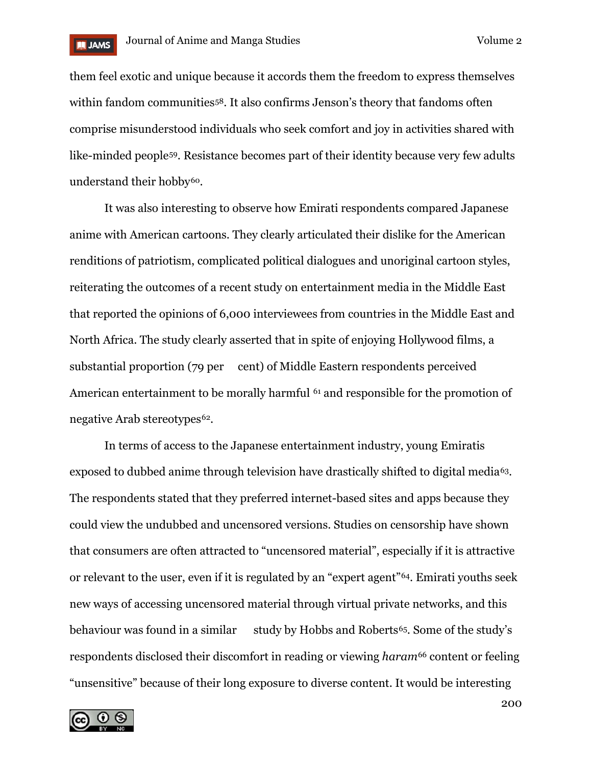

them feel exotic and unique because it accords them the freedom to express themselves within fandom communities<sup>[58](#page-25-9)</sup>. It also confirms Jenson's theory that fandoms often comprise misunderstood individuals who seek comfort and joy in activities shared with like-minded people[59.](#page-25-10) Resistance becomes part of their identity because very few adults understand their hobby<sup>60</sup>.

It was also interesting to observe how Emirati respondents compared Japanese anime with American cartoons. They clearly articulated their dislike for the American renditions of patriotism, complicated political dialogues and unoriginal cartoon styles, reiterating the outcomes of a recent study on entertainment media in the Middle East that reported the opinions of 6,000 interviewees from countries in the Middle East and North Africa. The study clearly asserted that in spite of enjoying Hollywood films, a substantial proportion (79 per cent) of Middle Eastern respondents perceived American entertainment to be morally harmful <sup>[61](#page-25-12)</sup> and responsible for the promotion of negative Arab stereotypes<sup>62</sup>.

In terms of access to the Japanese entertainment industry, young Emiratis exposed to dubbed anime through television have drastically shifted to digital media<sup>63</sup>. The respondents stated that they preferred internet-based sites and apps because they could view the undubbed and uncensored versions. Studies on censorship have shown that consumers are often attracted to "uncensored material", especially if it is attractive or relevant to the user, even if it is regulated by an "expert agent"[64](#page-25-15). Emirati youths seek new ways of accessing uncensored material through virtual private networks, and this behaviour was found in a similar study by Hobbs and Roberts<sup>[65](#page-25-16)</sup>. Some of the study's respondents disclosed their discomfort in reading or viewing *haram*[66](#page-25-17) content or feeling "unsensitive" because of their long exposure to diverse content. It would be interesting

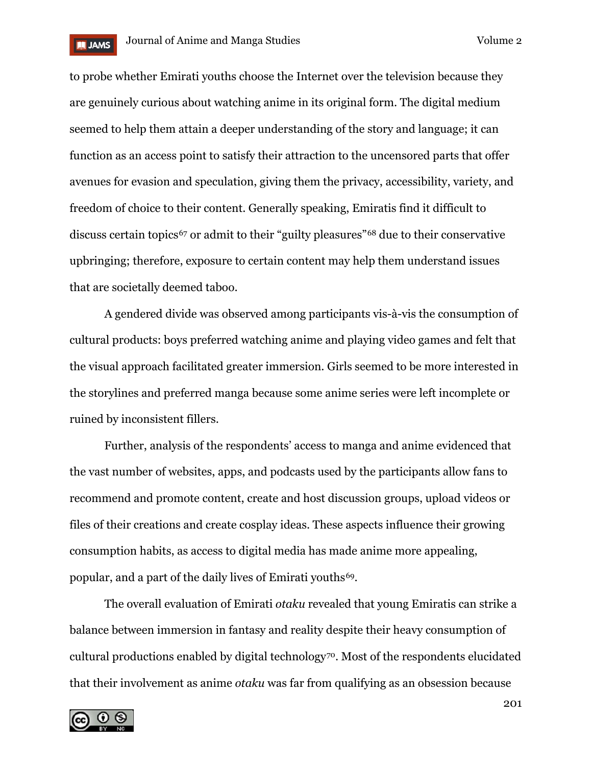

to probe whether Emirati youths choose the Internet over the television because they are genuinely curious about watching anime in its original form. The digital medium seemed to help them attain a deeper understanding of the story and language; it can function as an access point to satisfy their attraction to the uncensored parts that offer avenues for evasion and speculation, giving them the privacy, accessibility, variety, and freedom of choice to their content. Generally speaking, Emiratis find it difficult to discuss certain topics<sup>[67](#page-25-18)</sup> or admit to their "guilty pleasures"<sup>[68](#page-26-0)</sup> due to their conservative upbringing; therefore, exposure to certain content may help them understand issues that are societally deemed taboo.

A gendered divide was observed among participants vis-à-vis the consumption of cultural products: boys preferred watching anime and playing video games and felt that the visual approach facilitated greater immersion. Girls seemed to be more interested in the storylines and preferred manga because some anime series were left incomplete or ruined by inconsistent fillers.

Further, analysis of the respondents' access to manga and anime evidenced that the vast number of websites, apps, and podcasts used by the participants allow fans to recommend and promote content, create and host discussion groups, upload videos or files of their creations and create cosplay ideas. These aspects influence their growing consumption habits, as access to digital media has made anime more appealing, popular, and a part of the daily lives of Emirati youths[69.](#page-26-1)

The overall evaluation of Emirati *otaku* revealed that young Emiratis can strike a balance between immersion in fantasy and reality despite their heavy consumption of cultural productions enabled by digital technology<sup>70</sup>. Most of the respondents elucidated that their involvement as anime *otaku* was far from qualifying as an obsession because

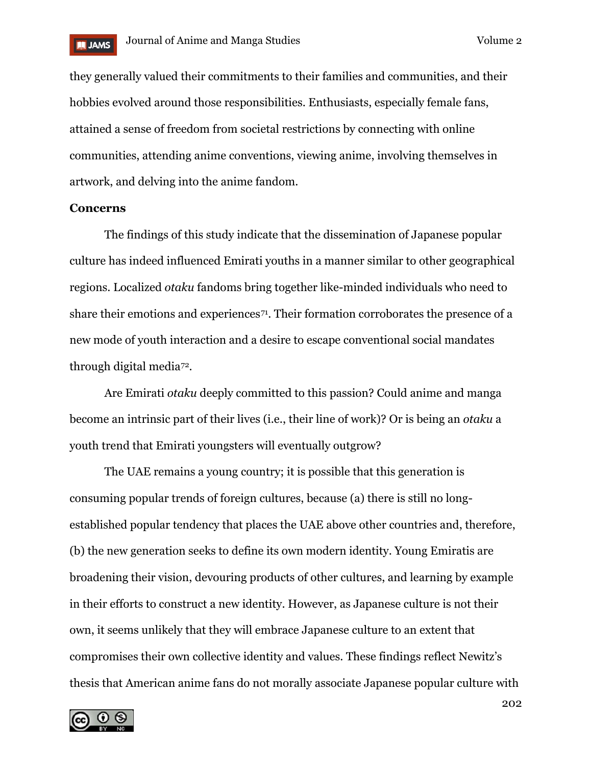

they generally valued their commitments to their families and communities, and their hobbies evolved around those responsibilities. Enthusiasts, especially female fans, attained a sense of freedom from societal restrictions by connecting with online communities, attending anime conventions, viewing anime, involving themselves in artwork, and delving into the anime fandom.

### **Concerns**

The findings of this study indicate that the dissemination of Japanese popular culture has indeed influenced Emirati youths in a manner similar to other geographical regions. Localized *otaku* fandoms bring together like-minded individuals who need to share their emotions and experiences<sup>[71](#page-26-3)</sup>. Their formation corroborates the presence of a new mode of youth interaction and a desire to escape conventional social mandates through digital media[72.](#page-26-4)

Are Emirati *otaku* deeply committed to this passion? Could anime and manga become an intrinsic part of their lives (i.e., their line of work)? Or is being an *otaku* a youth trend that Emirati youngsters will eventually outgrow?

The UAE remains a young country; it is possible that this generation is consuming popular trends of foreign cultures, because (a) there is still no longestablished popular tendency that places the UAE above other countries and, therefore, (b) the new generation seeks to define its own modern identity. Young Emiratis are broadening their vision, devouring products of other cultures, and learning by example in their efforts to construct a new identity. However, as Japanese culture is not their own, it seems unlikely that they will embrace Japanese culture to an extent that compromises their own collective identity and values. These findings reflect Newitz's thesis that American anime fans do not morally associate Japanese popular culture with

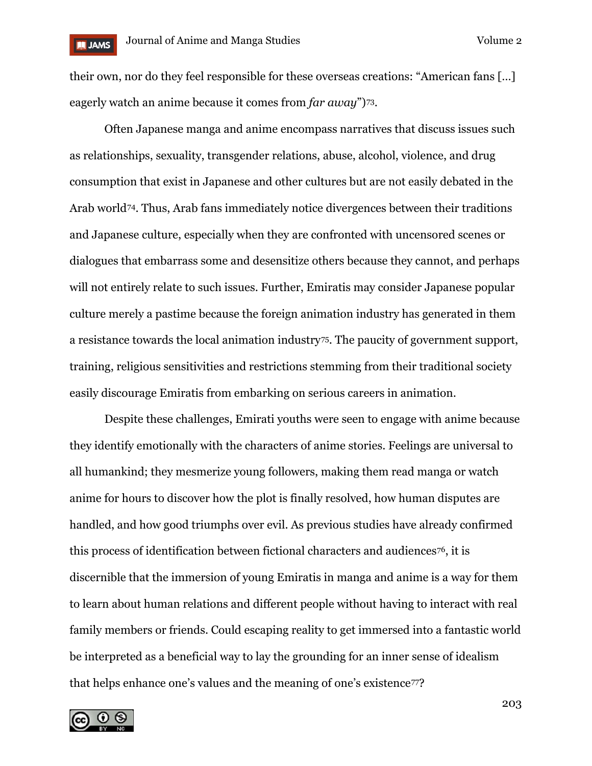

their own, nor do they feel responsible for these overseas creations: "American fans […] eagerly watch an anime because it comes from *far away*")[73.](#page-26-5)

Often Japanese manga and anime encompass narratives that discuss issues such as relationships, sexuality, transgender relations, abuse, alcohol, violence, and drug consumption that exist in Japanese and other cultures but are not easily debated in the Arab world[74](#page-26-6). Thus, Arab fans immediately notice divergences between their traditions and Japanese culture, especially when they are confronted with uncensored scenes or dialogues that embarrass some and desensitize others because they cannot, and perhaps will not entirely relate to such issues. Further, Emiratis may consider Japanese popular culture merely a pastime because the foreign animation industry has generated in them a resistance towards the local animation industry<sup>75</sup>. The paucity of government support, training, religious sensitivities and restrictions stemming from their traditional society easily discourage Emiratis from embarking on serious careers in animation.

Despite these challenges, Emirati youths were seen to engage with anime because they identify emotionally with the characters of anime stories. Feelings are universal to all humankind; they mesmerize young followers, making them read manga or watch anime for hours to discover how the plot is finally resolved, how human disputes are handled, and how good triumphs over evil. As previous studies have already confirmed this process of identification between fictional characters and audiences[76,](#page-26-8) it is discernible that the immersion of young Emiratis in manga and anime is a way for them to learn about human relations and different people without having to interact with real family members or friends. Could escaping reality to get immersed into a fantastic world be interpreted as a beneficial way to lay the grounding for an inner sense of idealism that helps enhance one's values and the meaning of one's existence<sup>77</sup>?



203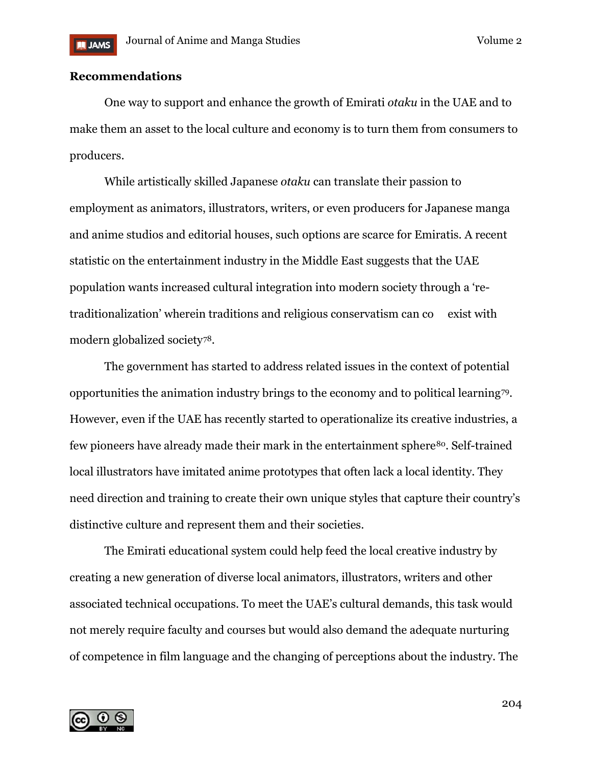# **Recommendations**

One way to support and enhance the growth of Emirati *otaku* in the UAE and to make them an asset to the local culture and economy is to turn them from consumers to producers.

While artistically skilled Japanese *otaku* can translate their passion to employment as animators, illustrators, writers, or even producers for Japanese manga and anime studios and editorial houses, such options are scarce for Emiratis. A recent statistic on the entertainment industry in the Middle East suggests that the UAE population wants increased cultural integration into modern society through a 'retraditionalization' wherein traditions and religious conservatism can co exist with modern globalized society[78](#page-26-10).

The government has started to address related issues in the context of potential opportunities the animation industry brings to the economy and to political learning[79](#page-26-11). However, even if the UAE has recently started to operationalize its creative industries, a few pioneers have already made their mark in the entertainment sphere<sup>80</sup>. Self-trained local illustrators have imitated anime prototypes that often lack a local identity. They need direction and training to create their own unique styles that capture their country's distinctive culture and represent them and their societies.

The Emirati educational system could help feed the local creative industry by creating a new generation of diverse local animators, illustrators, writers and other associated technical occupations. To meet the UAE's cultural demands, this task would not merely require faculty and courses but would also demand the adequate nurturing of competence in film language and the changing of perceptions about the industry. The

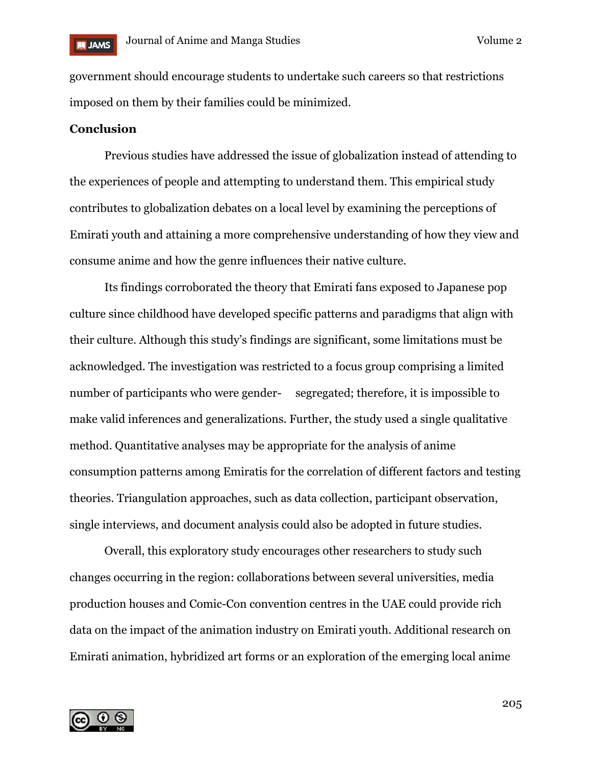

government should encourage students to undertake such careers so that restrictions imposed on them by their families could be minimized.

### **Conclusion**

Previous studies have addressed the issue of globalization instead of attending to the experiences of people and attempting to understand them. This empirical study contributes to globalization debates on a local level by examining the perceptions of Emirati youth and attaining a more comprehensive understanding of how they view and consume anime and how the genre influences their native culture.

Its findings corroborated the theory that Emirati fans exposed to Japanese pop culture since childhood have developed specific patterns and paradigms that align with their culture. Although this study's findings are significant, some limitations must be acknowledged. The investigation was restricted to a focus group comprising a limited number of participants who were gender- segregated; therefore, it is impossible to make valid inferences and generalizations. Further, the study used a single qualitative method. Quantitative analyses may be appropriate for the analysis of anime consumption patterns among Emiratis for the correlation of different factors and testing theories. Triangulation approaches, such as data collection, participant observation, single interviews, and document analysis could also be adopted in future studies.

Overall, this exploratory study encourages other researchers to study such changes occurring in the region: collaborations between several universities, media production houses and Comic-Con convention centres in the UAE could provide rich data on the impact of the animation industry on Emirati youth. Additional research on Emirati animation, hybridized art forms or an exploration of the emerging local anime

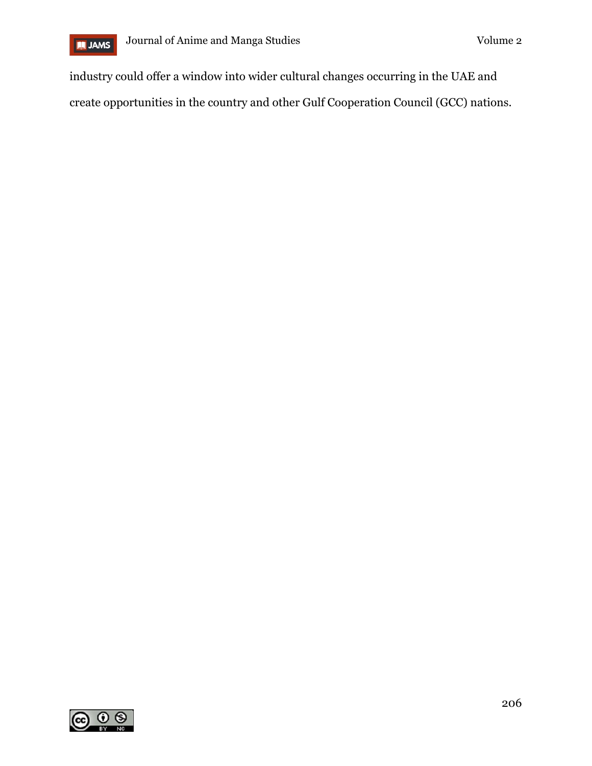

industry could offer a window into wider cultural changes occurring in the UAE and create opportunities in the country and other Gulf Cooperation Council (GCC) nations.

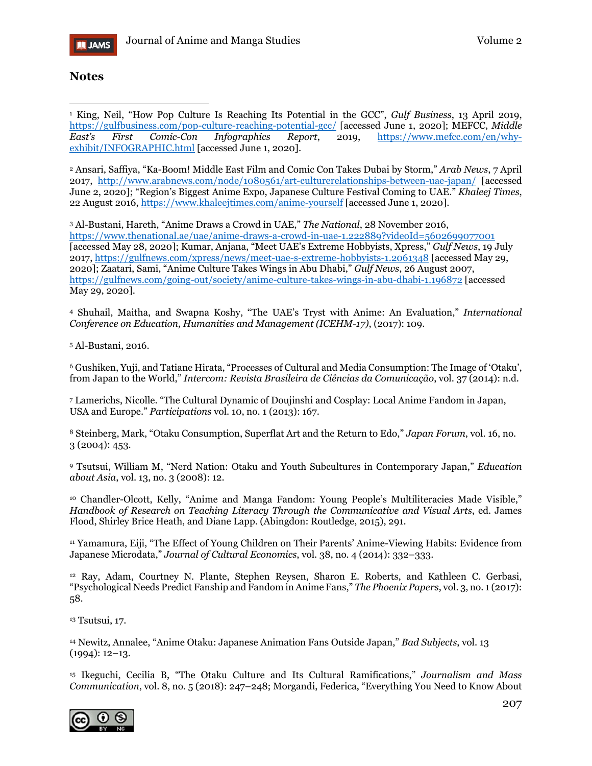

### **Notes**

<span id="page-22-0"></span><sup>1</sup> King, Neil, "How Pop Culture Is Reaching Its Potential in the GCC", *Gulf Business*, 13 April 2019, <https://gulfbusiness.com/pop-culture-reaching-potential-gcc/> [accessed June 1, 2020]; MEFCC, *Middle East's First Comic-Con Infographics Report*, 2019, [https://www.mefcc.com/en/why](https://www.mefcc.com/en/why-exhibit/INFOGRAPHIC.html)[exhibit/INFOGRAPHIC.html](https://www.mefcc.com/en/why-exhibit/INFOGRAPHIC.html) [accessed June 1, 2020].  $\overline{a}$ 

<span id="page-22-1"></span><sup>2</sup> Ansari, Saffiya, "Ka-Boom! Middle East Film and Comic Con Takes Dubai by Storm," *Arab News*, 7 April 2017, <http://www.arabnews.com/node/1080561/art-culturerelationships-between-uae-japan/> [accessed June 2, 2020]; "Region's Biggest Anime Expo, Japanese Culture Festival Coming to UAE." *Khaleej Times*, 22 August 2016,<https://www.khaleejtimes.com/anime-yourself> [accessed June 1, 2020].

<span id="page-22-2"></span><sup>3</sup> Al-Bustani, Hareth, "Anime Draws a Crowd in UAE," *The National*, 28 November 2016, <https://www.thenational.ae/uae/anime-draws-a-crowd-in-uae-1.222889?videoId=5602699077001> [accessed May 28, 2020]; Kumar, Anjana, "Meet UAE's Extreme Hobbyists, Xpress," *Gulf News*, 19 July 2017,<https://gulfnews.com/xpress/news/meet-uae-s-extreme-hobbyists-1.2061348> [accessed May 29, 2020]; Zaatari, Sami, "Anime Culture Takes Wings in Abu Dhabi," *Gulf News*, 26 August 2007, <https://gulfnews.com/going-out/society/anime-culture-takes-wings-in-abu-dhabi-1.196872> [accessed May 29, 2020].

<span id="page-22-3"></span><sup>4</sup> Shuhail, Maitha, and Swapna Koshy, "The UAE's Tryst with Anime: An Evaluation," *International Conference on Education, Humanities and Management (ICEHM-17)*, (2017): 109.

<span id="page-22-4"></span><sup>5</sup> Al-Bustani, 2016.

<span id="page-22-5"></span><sup>6</sup> Gushiken, Yuji, and Tatiane Hirata, "Processes of Cultural and Media Consumption: The Image of 'Otaku', from Japan to the World," *Intercom: Revista Brasileira de Ciências da Comunicação*, vol. 37 (2014): n.d.

<span id="page-22-6"></span><sup>7</sup> Lamerichs, Nicolle. "The Cultural Dynamic of Doujinshi and Cosplay: Local Anime Fandom in Japan, USA and Europe." *Participations* vol. 10, no. 1 (2013): 167.

<span id="page-22-7"></span><sup>8</sup> Steinberg, Mark, "Otaku Consumption, Superflat Art and the Return to Edo," *Japan Forum*, vol. 16, no. 3 (2004): 453.

<span id="page-22-8"></span><sup>9</sup> Tsutsui, William M, "Nerd Nation: Otaku and Youth Subcultures in Contemporary Japan," *Education about Asia*, vol. 13, no. 3 (2008): 12.

<span id="page-22-9"></span><sup>10</sup> Chandler-Olcott, Kelly, "Anime and Manga Fandom: Young People's Multiliteracies Made Visible," *Handbook of Research on Teaching Literacy Through the Communicative and Visual Arts*, ed. James Flood, Shirley Brice Heath, and Diane Lapp. (Abingdon: Routledge, 2015), 291.

<span id="page-22-10"></span><sup>11</sup> Yamamura, Eiji, "The Effect of Young Children on Their Parents' Anime-Viewing Habits: Evidence from Japanese Microdata," *Journal of Cultural Economics*, vol. 38, no. 4 (2014): 332–333.

<span id="page-22-11"></span><sup>12</sup> Ray, Adam, Courtney N. Plante, Stephen Reysen, Sharon E. Roberts, and Kathleen C. Gerbasi*,* "Psychological Needs Predict Fanship and Fandom in Anime Fans," *The Phoenix Papers*, vol. 3, no. 1 (2017): 58.

<span id="page-22-12"></span><sup>13</sup> Tsutsui, 17.

<span id="page-22-13"></span><sup>14</sup> Newitz, Annalee, "Anime Otaku: Japanese Animation Fans Outside Japan," *Bad Subjects*, vol. 13 (1994): 12–13.

<span id="page-22-14"></span><sup>15</sup> Ikeguchi, Cecilia B, "The Otaku Culture and Its Cultural Ramifications," *Journalism and Mass Communication*, vol. 8, no. 5 (2018): 247–248; Morgandi, Federica, "Everything You Need to Know About

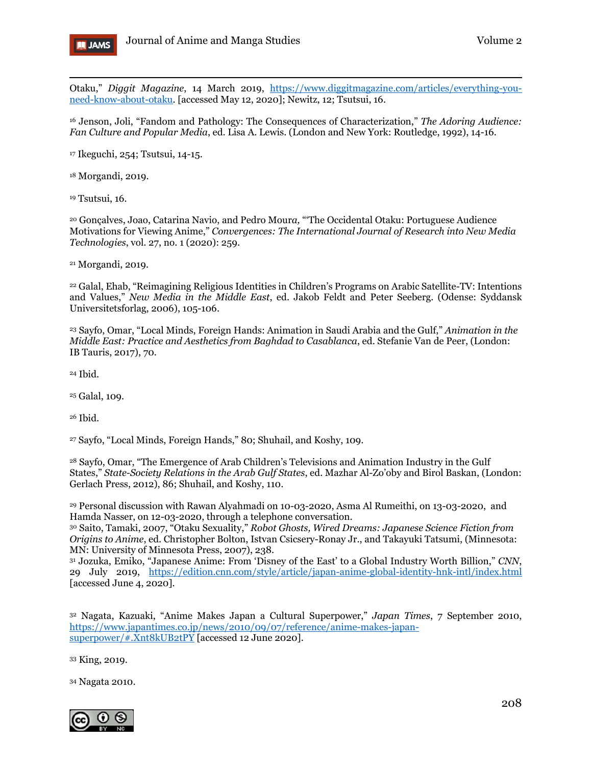

 $\overline{a}$ Otaku," *Diggit Magazine*, 14 March 2019, [https://www.diggitmagazine.com/articles/everything-you](https://www.diggitmagazine.com/articles/everything-you-need-know-about-otaku)[need-know-about-otaku.](https://www.diggitmagazine.com/articles/everything-you-need-know-about-otaku) [accessed May 12, 2020]; Newitz, 12; Tsutsui, 16.

<span id="page-23-0"></span><sup>16</sup> Jenson, Joli, "Fandom and Pathology: The Consequences of Characterization," *The Adoring Audience: Fan Culture and Popular Media*, ed. Lisa A. Lewis. (London and New York: Routledge, 1992), 14-16.

<span id="page-23-1"></span><sup>17</sup> Ikeguchi, 254; Tsutsui, 14-15.

<span id="page-23-2"></span><sup>18</sup> Morgandi, 2019.

<span id="page-23-3"></span><sup>19</sup> Tsutsui, 16.

<span id="page-23-4"></span><sup>20</sup> Gonçalves, Joao, Catarina Navio, and Pedro Mour*a,* "'The Occidental Otaku: Portuguese Audience Motivations for Viewing Anime," *Convergences: The International Journal of Research into New Media Technologies*, vol. 27, no. 1 (2020): 259.

<span id="page-23-5"></span><sup>21</sup> Morgandi, 2019.

<span id="page-23-6"></span><sup>22</sup> Galal, Ehab, "Reimagining Religious Identities in Children's Programs on Arabic Satellite-TV: Intentions and Values," *New Media in the Middle East*, ed. Jakob Feldt and Peter Seeberg. (Odense: Syddansk Universitetsforlag, 2006), 105-106.

<span id="page-23-7"></span><sup>23</sup> Sayfo, Omar, "Local Minds, Foreign Hands: Animation in Saudi Arabia and the Gulf," *Animation in the Middle East: Practice and Aesthetics from Baghdad to Casablanca*, ed. Stefanie Van de Peer, (London: IB Tauris, 2017), 70.

<span id="page-23-8"></span><sup>24</sup> Ibid.

<span id="page-23-9"></span><sup>25</sup> Galal, 109.

<span id="page-23-10"></span><sup>26</sup> Ibid.

<span id="page-23-11"></span><sup>27</sup> Sayfo, "Local Minds, Foreign Hands," 80; Shuhail, and Koshy, 109.

<span id="page-23-12"></span><sup>28</sup> Sayfo, Omar, "The Emergence of Arab Children's Televisions and Animation Industry in the Gulf States," *State-Society Relations in the Arab Gulf States*, ed. Mazhar Al-Zo'oby and Birol Baskan, (London: Gerlach Press, 2012), 86; Shuhail, and Koshy, 110.

<span id="page-23-13"></span><sup>29</sup> Personal discussion with Rawan Alyahmadi on 10-03-2020, Asma Al Rumeithi, on 13-03-2020, and Hamda Nasser, on 12-03-2020, through a telephone conversation.

<span id="page-23-14"></span><sup>30</sup> Saito, Tamaki, 2007, "Otaku Sexuality," *Robot Ghosts, Wired Dreams: Japanese Science Fiction from Origins to Anime*, ed. Christopher Bolton, Istvan Csicsery-Ronay Jr., and Takayuki Tatsumi, (Minnesota: MN: University of Minnesota Press, 2007), 238.

<span id="page-23-15"></span><sup>31</sup> Jozuka, Emiko, "Japanese Anime: From 'Disney of the East' to a Global Industry Worth Billion," *CNN*, 29 July 2019, <https://edition.cnn.com/style/article/japan-anime-global-identity-hnk-intl/index.html> [accessed June 4, 2020].

<span id="page-23-16"></span><sup>32</sup> Nagata, Kazuaki, "Anime Makes Japan a Cultural Superpower," *Japan Times*, 7 September 2010, [https://www.japantimes.co.jp/news/2010/09/07/reference/anime-makes-japan](https://www.japantimes.co.jp/news/2010/09/07/reference/anime-makes-japan-superpower/#.Xnt8kUB2tPY)[superpower/#.Xnt8kUB2tPY](https://www.japantimes.co.jp/news/2010/09/07/reference/anime-makes-japan-superpower/#.Xnt8kUB2tPY) [accessed 12 June 2020].

<span id="page-23-17"></span><sup>33</sup> King, 2019.

<span id="page-23-18"></span><sup>34</sup> Nagata 2010.

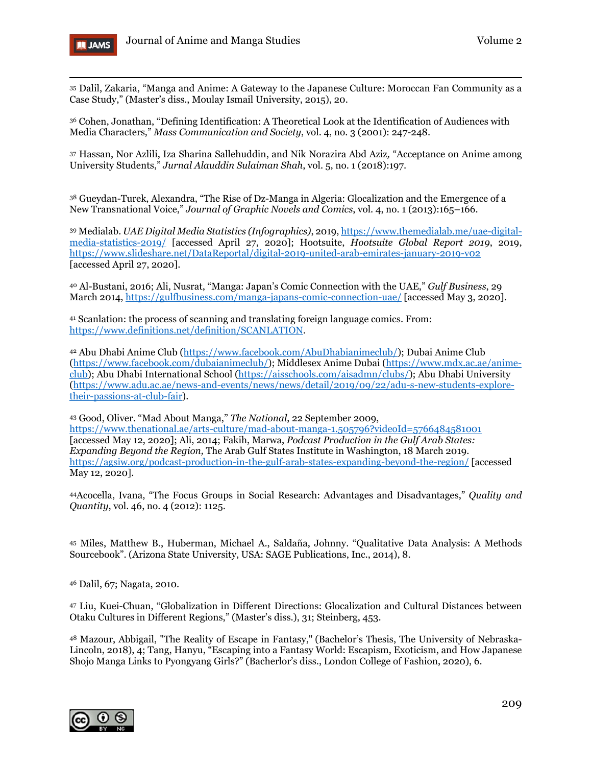

<span id="page-24-0"></span><sup>35</sup> Dalil, Zakaria, "Manga and Anime: A Gateway to the Japanese Culture: Moroccan Fan Community as a Case Study," (Master's diss., Moulay Ismail University, 2015), 20.

<span id="page-24-1"></span><sup>36</sup> Cohen, Jonathan, "Defining Identification: A Theoretical Look at the Identification of Audiences with Media Characters," *Mass Communication and Society*, vol. 4, no. 3 (2001): 247-248.

<span id="page-24-2"></span><sup>37</sup> Hassan, Nor Azlili, Iza Sharina Sallehuddin, and Nik Norazira Abd Aziz*,* "Acceptance on Anime among University Students," *Jurnal Alauddin Sulaiman Shah*, vol. 5, no. 1 (2018):197.

<span id="page-24-3"></span><sup>38</sup> Gueydan-Turek, Alexandra, "The Rise of Dz-Manga in Algeria: Glocalization and the Emergence of a New Transnational Voice," *Journal of Graphic Novels and Comics*, vol. 4, no. 1 (2013):165–166.

<span id="page-24-4"></span><sup>39</sup> Medialab. *UAE Digital Media Statistics (Infographics)*, 2019, [https://www.themedialab.me/uae-digital](https://www.themedialab.me/uae-digital-media-statistics-2019/)[media-statistics-2019/](https://www.themedialab.me/uae-digital-media-statistics-2019/) [accessed April 27, 2020]; Hootsuite, *Hootsuite Global Report 2019*, 2019, <https://www.slideshare.net/DataReportal/digital-2019-united-arab-emirates-january-2019-v02> [accessed April 27, 2020].

<span id="page-24-5"></span><sup>40</sup> Al-Bustani, 2016; Ali, Nusrat, "Manga: Japan's Comic Connection with the UAE," *Gulf Business*, 29 March 2014,<https://gulfbusiness.com/manga-japans-comic-connection-uae/> [accessed May 3, 2020].

<span id="page-24-6"></span><sup>41</sup> Scanlation: the process of scanning and translating foreign language comics. From: [https://www.definitions.net/definition/SCANLATION.](https://www.definitions.net/definition/SCANLATION)

<span id="page-24-7"></span><sup>42</sup> Abu Dhabi Anime Club [\(https://www.facebook.com/AbuDhabianimeclub/\)](https://www.facebook.com/AbuDhabianimeclub/); Dubai Anime Club [\(https://www.facebook.com/dubaianimeclub/\)](https://www.facebook.com/dubaianimeclub/); Middlesex Anime Dubai [\(https://www.mdx.ac.ae/anime](https://www.mdx.ac.ae/anime-club)[club\)](https://www.mdx.ac.ae/anime-club); Abu Dhabi International School [\(https://aisschools.com/aisadmn/clubs/\)](https://aisschools.com/aisadmn/clubs/); Abu Dhabi University [\(https://www.adu.ac.ae/news-and-events/news/news/detail/2019/09/22/adu-s-new-students-explore](https://www.adu.ac.ae/news-and-events/news/news/detail/2019/09/22/adu-s-new-students-explore-their-passions-at-club-fair)[their-passions-at-club-fair\)](https://www.adu.ac.ae/news-and-events/news/news/detail/2019/09/22/adu-s-new-students-explore-their-passions-at-club-fair).

<span id="page-24-8"></span><sup>43</sup> Good, Oliver. "Mad About Manga," *The National*, 22 September 2009, <https://www.thenational.ae/arts-culture/mad-about-manga-1.505796?videoId=5766484581001> [accessed May 12, 2020]; Ali, 2014; Fakih, Marwa, *Podcast Production in the Gulf Arab States: Expanding Beyond the Region,* The Arab Gulf States Institute in Washington, 18 March 2019. <https://agsiw.org/podcast-production-in-the-gulf-arab-states-expanding-beyond-the-region/> [accessed May 12, 2020].

<span id="page-24-9"></span>44Acocella, Ivana, "The Focus Groups in Social Research: Advantages and Disadvantages," *Quality and Quantity*, vol. 46, no. 4 (2012): 1125.

<span id="page-24-10"></span><sup>45</sup> Miles, Matthew B., Huberman, Michael A., Saldaña, Johnny. "Qualitative Data Analysis: A Methods Sourcebook". (Arizona State University, USA: SAGE Publications, Inc., 2014), 8.

<span id="page-24-11"></span><sup>46</sup> Dalil, 67; Nagata, 2010.

<span id="page-24-12"></span><sup>47</sup> Liu, Kuei-Chuan, "Globalization in Different Directions: Glocalization and Cultural Distances between Otaku Cultures in Different Regions," (Master's diss.), 31; Steinberg, 453.

<span id="page-24-13"></span><sup>48</sup> Mazour, Abbigail, "The Reality of Escape in Fantasy," (Bachelor's Thesis, The University of Nebraska-Lincoln, 2018), 4; Tang, Hanyu, "Escaping into a Fantasy World: Escapism, Exoticism, and How Japanese Shojo Manga Links to Pyongyang Girls?" (Bacherlor's diss., London College of Fashion, 2020), 6.

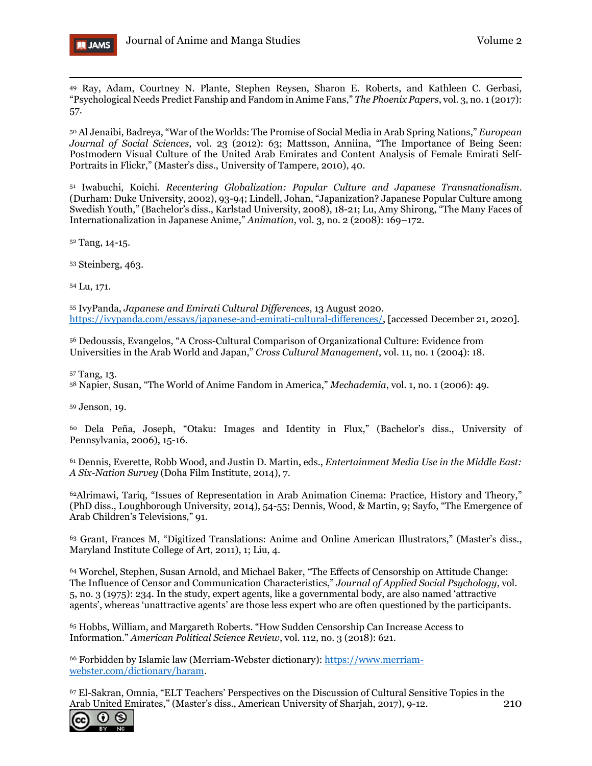

<span id="page-25-0"></span><sup>49</sup> Ray, Adam, Courtney N. Plante, Stephen Reysen, Sharon E. Roberts, and Kathleen C. Gerbasi*,* "Psychological Needs Predict Fanship and Fandom in Anime Fans," *The Phoenix Papers*, vol. 3, no. 1 (2017): 57.

<span id="page-25-1"></span><sup>50</sup> Al Jenaibi, Badreya, "War of the Worlds: The Promise of Social Media in Arab Spring Nations," *European Journal of Social Sciences*, vol. 23 (2012): 63; Mattsson, Anniina, "The Importance of Being Seen: Postmodern Visual Culture of the United Arab Emirates and Content Analysis of Female Emirati Self-Portraits in Flickr," (Master's diss., University of Tampere, 2010), 40.

<span id="page-25-2"></span><sup>51</sup> Iwabuchi, Koichi. *Recentering Globalization: Popular Culture and Japanese Transnationalism*. (Durham: Duke University, 2002), 93-94; Lindell, Johan, "Japanization? Japanese Popular Culture among Swedish Youth," (Bachelor's diss., Karlstad University, 2008), 18-21; Lu, Amy Shirong, "The Many Faces of Internationalization in Japanese Anime," *Animation*, vol. 3, no. 2 (2008): 169–172.

<span id="page-25-3"></span><sup>52</sup> Tang, 14-15.

<span id="page-25-4"></span><sup>53</sup> Steinberg, 463.

<span id="page-25-5"></span><sup>54</sup> Lu, 171.

<span id="page-25-6"></span><sup>55</sup> IvyPanda, *Japanese and Emirati Cultural Differences*, 13 August 2020. [https://ivypanda.com/essays/japanese-and-emirati-cultural-differences/,](https://ivypanda.com/essays/japanese-and-emirati-cultural-differences/) [accessed December 21, 2020].

<span id="page-25-7"></span><sup>56</sup> Dedoussis, Evangelos, "A Cross-Cultural Comparison of Organizational Culture: Evidence from Universities in the Arab World and Japan," *Cross Cultural Management*, vol. 11, no. 1 (2004): 18.

<span id="page-25-8"></span><sup>57</sup> Tang, 13.

<span id="page-25-9"></span><sup>58</sup> Napier, Susan, "The World of Anime Fandom in America," *Mechademia*, vol. 1, no. 1 (2006): 49.

<span id="page-25-10"></span><sup>59</sup> Jenson, 19.

<span id="page-25-11"></span><sup>60</sup> Dela Peña, Joseph, "Otaku: Images and Identity in Flux," (Bachelor's diss., University of Pennsylvania, 2006), 15-16.

<span id="page-25-12"></span><sup>61</sup> Dennis, Everette, Robb Wood, and Justin D. Martin, eds., *Entertainment Media Use in the Middle East: A Six-Nation Survey* (Doha Film Institute, 2014), 7.

<span id="page-25-13"></span>62Alrimawi, Tariq, "Issues of Representation in Arab Animation Cinema: Practice, History and Theory," (PhD diss., Loughborough University, 2014), 54-55; Dennis, Wood, & Martin, 9; Sayfo, "The Emergence of Arab Children's Televisions," 91.

<span id="page-25-14"></span><sup>63</sup> Grant, Frances M, "Digitized Translations: Anime and Online American Illustrators," (Master's diss., Maryland Institute College of Art, 2011), 1; Liu, 4.

<span id="page-25-15"></span><sup>64</sup> Worchel, Stephen, Susan Arnold, and Michael Baker, "The Effects of Censorship on Attitude Change: The Influence of Censor and Communication Characteristics," *Journal of Applied Social Psychology*, vol. 5, no. 3 (1975): 234. In the study, expert agents, like a governmental body, are also named 'attractive agents', whereas 'unattractive agents' are those less expert who are often questioned by the participants.

<span id="page-25-16"></span><sup>65</sup> Hobbs, William, and Margareth Roberts. "How Sudden Censorship Can Increase Access to Information." *American Political Science Review*, vol. 112, no. 3 (2018): 621.

<span id="page-25-17"></span><sup>66</sup> Forbidden by Islamic law (Merriam-Webster dictionary): [https://www.merriam](https://www.merriam-webster.com/dictionary/haram)[webster.com/dictionary/haram.](https://www.merriam-webster.com/dictionary/haram)

<span id="page-25-18"></span>210 <sup>67</sup> El-Sakran, Omnia, "ELT Teachers' Perspectives on the Discussion of Cultural Sensitive Topics in the Arab United Emirates," (Master's diss., American University of Sharjah, 2017), 9-12.

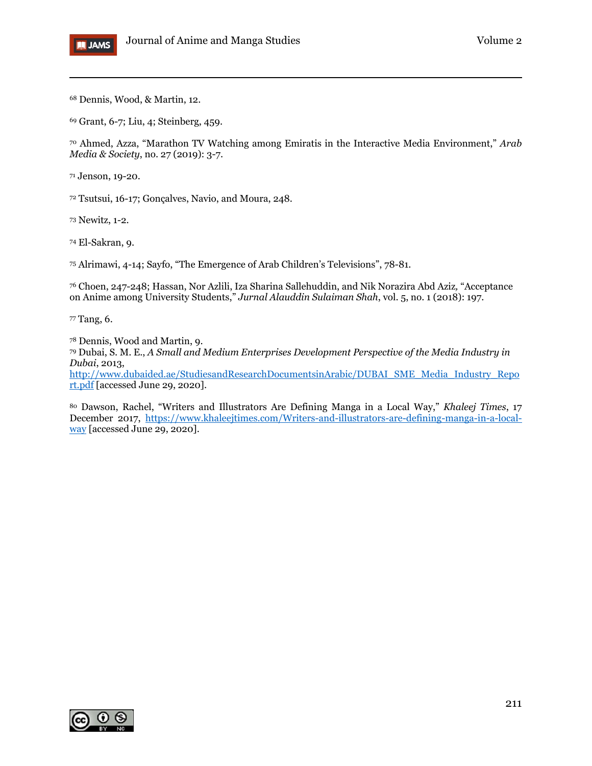

<span id="page-26-0"></span>Dennis, Wood, & Martin, 12.

<span id="page-26-1"></span>Grant, 6-7; Liu, 4; Steinberg, 459.

<span id="page-26-2"></span> Ahmed, Azza, "Marathon TV Watching among Emiratis in the Interactive Media Environment," *Arab Media & Society*, no. 27 (2019): 3-7.

<span id="page-26-3"></span>Jenson, 19-20.

<span id="page-26-4"></span>Tsutsui, 16-17; Gonçalves, Navio, and Moura, 248.

<span id="page-26-5"></span>Newitz, 1-2.

<span id="page-26-6"></span>El-Sakran, 9.

<span id="page-26-7"></span>Alrimawi, 4-14; Sayfo, "The Emergence of Arab Children's Televisions", 78-81.

<span id="page-26-8"></span> Choen, 247-248; Hassan, Nor Azlili, Iza Sharina Sallehuddin, and Nik Norazira Abd Aziz*,* "Acceptance on Anime among University Students," *Jurnal Alauddin Sulaiman Shah*, vol. 5, no. 1 (2018): 197.

<span id="page-26-9"></span>Tang, 6.

<span id="page-26-10"></span>Dennis, Wood and Martin, 9.

<span id="page-26-11"></span> Dubai, S. M. E., *A Small and Medium Enterprises Development Perspective of the Media Industry in Dubai*, 2013,

[http://www.dubaided.ae/StudiesandResearchDocumentsinArabic/DUBAI\\_SME\\_Media\\_Industry\\_Repo](http://www.dubaided.ae/StudiesandResearchDocumentsinArabic/DUBAI_SME_Media_Industry_Report.pdf) [rt.pdf](http://www.dubaided.ae/StudiesandResearchDocumentsinArabic/DUBAI_SME_Media_Industry_Report.pdf) [accessed June 29, 2020].

<span id="page-26-12"></span> Dawson, Rachel, "Writers and Illustrators Are Defining Manga in a Local Way," *Khaleej Times*, 17 December 2017, [https://www.khaleejtimes.com/Writers-and-illustrators-are-defining-manga-in-a-local](https://www.khaleejtimes.com/Writers-and-illustrators-are-defining-manga-in-a-local-way)[way](https://www.khaleejtimes.com/Writers-and-illustrators-are-defining-manga-in-a-local-way) [accessed June 29, 2020].

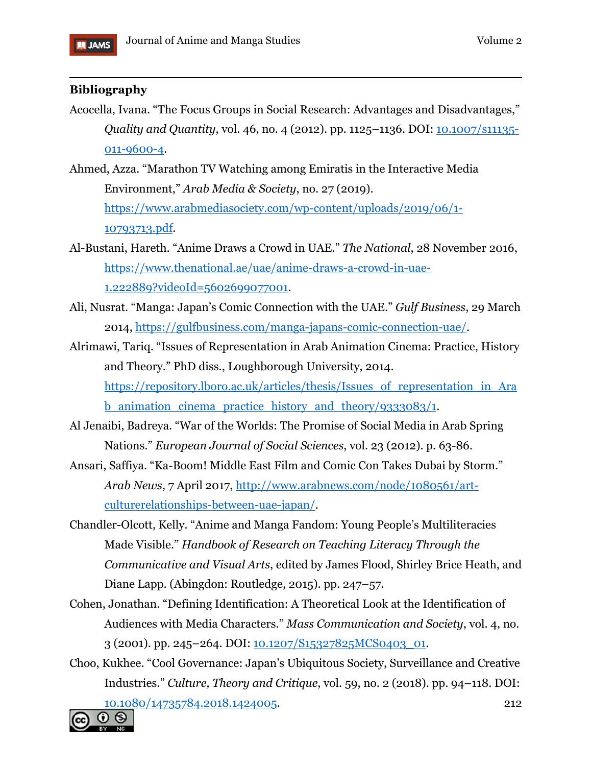

# $\overline{a}$ **Bibliography**

- Acocella, Ivana. "The Focus Groups in Social Research: Advantages and Disadvantages," *Quality and Quantity*, vol. 46, no. 4 (2012). pp. 1125–1136. DOI: [10.1007/s11135-](https://doi.org/10.1007/s11135-011-9600-4) [011-9600-4.](https://doi.org/10.1007/s11135-011-9600-4)
- Ahmed, Azza. "Marathon TV Watching among Emiratis in the Interactive Media Environment," *Arab Media & Society*, no. 27 (2019). [https://www.arabmediasociety.com/wp-content/uploads/2019/06/1-](https://www.arabmediasociety.com/wp-content/uploads/2019/06/1-10793713.pdf) [10793713.pdf.](https://www.arabmediasociety.com/wp-content/uploads/2019/06/1-10793713.pdf)
- Al-Bustani, Hareth. "Anime Draws a Crowd in UAE." *The National*, 28 November 2016, [https://www.thenational.ae/uae/anime-draws-a-crowd-in-uae-](https://www.thenational.ae/uae/anime-draws-a-crowd-in-uae-1.222889?videoId=5602699077001)[1.222889?videoId=5602699077001.](https://www.thenational.ae/uae/anime-draws-a-crowd-in-uae-1.222889?videoId=5602699077001)
- Ali, Nusrat. "Manga: Japan's Comic Connection with the UAE." *Gulf Business*, 29 March 2014, [https://gulfbusiness.com/manga-japans-comic-connection-uae/.](https://gulfbusiness.com/manga-japans-comic-connection-uae/)
- Alrimawi, Tariq. "Issues of Representation in Arab Animation Cinema: Practice, History and Theory." PhD diss., Loughborough University, 2014. https://repository.lboro.ac.uk/articles/thesis/Issues of representation in Ara b animation cinema practice history and theory/9333083/1.
- Al Jenaibi, Badreya. "War of the Worlds: The Promise of Social Media in Arab Spring Nations." *European Journal of Social Sciences*, vol. 23 (2012). p. 63-86.
- Ansari, Saffiya. "Ka-Boom! Middle East Film and Comic Con Takes Dubai by Storm." *Arab News*, 7 April 2017, [http://www.arabnews.com/node/1080561/art](http://www.arabnews.com/node/1080561/art-culturerelationships-between-uae-japan/)[culturerelationships-between-uae-japan/.](http://www.arabnews.com/node/1080561/art-culturerelationships-between-uae-japan/)
- Chandler-Olcott, Kelly. "Anime and Manga Fandom: Young People's Multiliteracies Made Visible." *Handbook of Research on Teaching Literacy Through the Communicative and Visual Arts*, edited by James Flood, Shirley Brice Heath, and Diane Lapp. (Abingdon: Routledge, 2015). pp. 247–57.
- Cohen, Jonathan. "Defining Identification: A Theoretical Look at the Identification of Audiences with Media Characters." *Mass Communication and Society*, vol. 4, no. 3 (2001). pp. 245–264. DOI: [10.1207/S15327825MCS0403\\_01.](https://doi.org/10.1207/S15327825MCS0403_01)
- 212 Choo, Kukhee. "Cool Governance: Japan's Ubiquitous Society, Surveillance and Creative Industries." *Culture, Theory and Critique*, vol. 59, no. 2 (2018). pp. 94–118. DOI: [10.1080/14735784.2018.1424005.](https://doi.org/10.1080/14735784.2018.1424005)

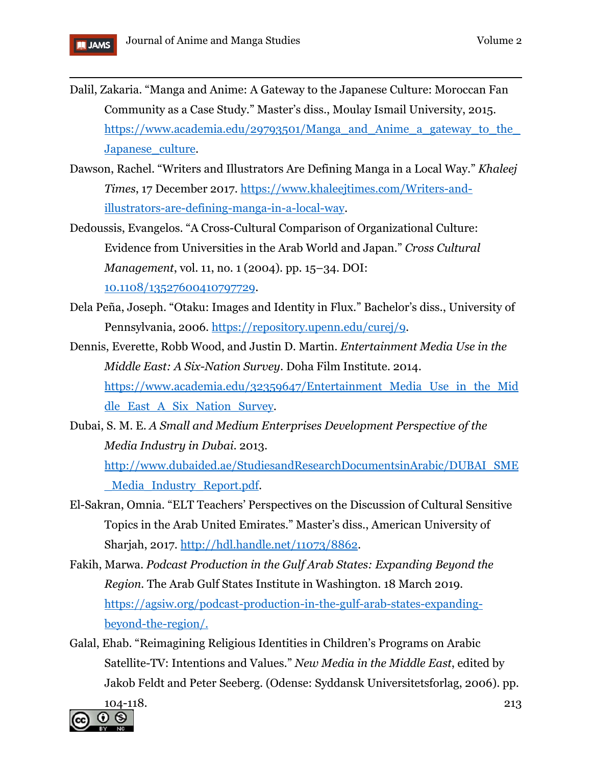

- $\overline{a}$ Dalil, Zakaria. "Manga and Anime: A Gateway to the Japanese Culture: Moroccan Fan Community as a Case Study." Master's diss., Moulay Ismail University, 2015. [https://www.academia.edu/29793501/Manga\\_and\\_Anime\\_a\\_gateway\\_to\\_the\\_](https://www.academia.edu/29793501/Manga_and_Anime_a_gateway_to_the_Japanese_culture) Japanese culture.
- Dawson, Rachel. "Writers and Illustrators Are Defining Manga in a Local Way." *Khaleej Times*, 17 December 2017. [https://www.khaleejtimes.com/Writers-and](https://www.khaleejtimes.com/Writers-and-illustrators-are-defining-manga-in-a-local-way)[illustrators-are-defining-manga-in-a-local-way.](https://www.khaleejtimes.com/Writers-and-illustrators-are-defining-manga-in-a-local-way)
- Dedoussis, Evangelos. "A Cross-Cultural Comparison of Organizational Culture: Evidence from Universities in the Arab World and Japan." *Cross Cultural Management*, vol. 11, no. 1 (2004). pp. 15–34. DOI: [10.1108/13527600410797729.](https://doi.org/10.1108/13527600410797729)
- Dela Peña, Joseph. "Otaku: Images and Identity in Flux." Bachelor's diss., University of Pennsylvania, 2006. [https://repository.upenn.edu/curej/9.](https://repository.upenn.edu/curej/9)
- Dennis, Everette, Robb Wood, and Justin D. Martin. *Entertainment Media Use in the Middle East: A Six-Nation Survey*. Doha Film Institute. 2014. https://www.academia.edu/32359647/Entertainment Media Use in the Mid [dle\\_East\\_A\\_Six\\_Nation\\_Survey.](https://www.academia.edu/32359647/Entertainment_Media_Use_in_the_Middle_East_A_Six_Nation_Survey)
- Dubai, S. M. E. *A Small and Medium Enterprises Development Perspective of the Media Industry in Dubai*. 2013. [http://www.dubaided.ae/StudiesandResearchDocumentsinArabic/DUBAI\\_SME](http://www.dubaided.ae/StudiesandResearchDocumentsinArabic/DUBAI_SME_Media_Industry_Report.pdf) [\\_Media\\_Industry\\_Report.pdf.](http://www.dubaided.ae/StudiesandResearchDocumentsinArabic/DUBAI_SME_Media_Industry_Report.pdf)
- El-Sakran, Omnia. "ELT Teachers' Perspectives on the Discussion of Cultural Sensitive Topics in the Arab United Emirates." Master's diss., American University of Sharjah, 2017. [http://hdl.handle.net/11073/8862.](http://hdl.handle.net/11073/8862)
- Fakih, Marwa. *Podcast Production in the Gulf Arab States: Expanding Beyond the Region.* The Arab Gulf States Institute in Washington. 18 March 2019. [https://agsiw.org/podcast-production-in-the-gulf-arab-states-expanding](https://agsiw.org/podcast-production-in-the-gulf-arab-states-expanding-beyond-the-region/)[beyond-the-region/.](https://agsiw.org/podcast-production-in-the-gulf-arab-states-expanding-beyond-the-region/)
- Galal, Ehab. "Reimagining Religious Identities in Children's Programs on Arabic Satellite-TV: Intentions and Values." *New Media in the Middle East*, edited by Jakob Feldt and Peter Seeberg. (Odense: Syddansk Universitetsforlag, 2006). pp.

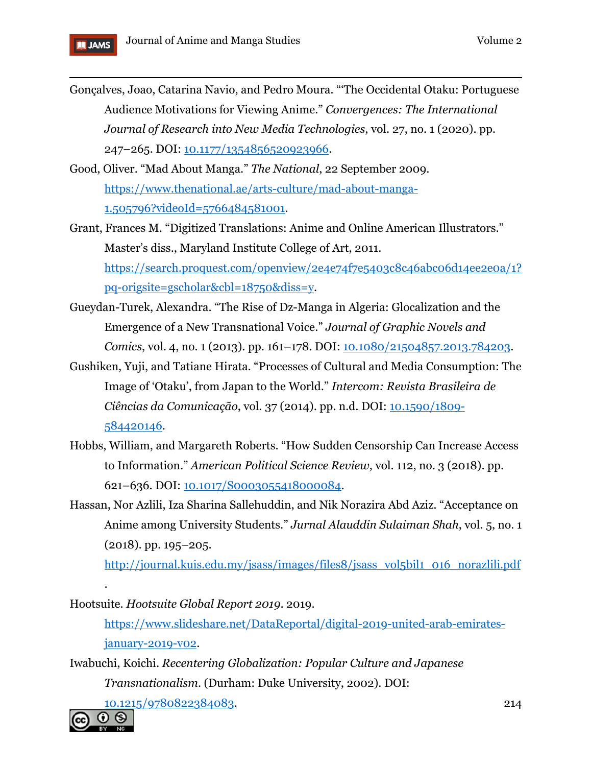

- $\overline{a}$ Gonçalves, Joao, Catarina Navio, and Pedro Moura*.* "'The Occidental Otaku: Portuguese Audience Motivations for Viewing Anime." *Convergences: The International Journal of Research into New Media Technologies*, vol. 27, no. 1 (2020). pp. 247–265. DOI: [10.1177/1354856520923966.](https://doi.org/10.1177/1354856520923966)
- Good, Oliver. "Mad About Manga." *The National*, 22 September 2009. [https://www.thenational.ae/arts-culture/mad-about-manga-](https://www.thenational.ae/arts-culture/mad-about-manga-1.505796?videoId=5766484581001)[1.505796?videoId=5766484581001.](https://www.thenational.ae/arts-culture/mad-about-manga-1.505796?videoId=5766484581001)
- Grant, Frances M. "Digitized Translations: Anime and Online American Illustrators." Master's diss., Maryland Institute College of Art, 2011. [https://search.proquest.com/openview/2e4e74f7e5403c8c46abc06d14ee2e0a/1?](https://search.proquest.com/openview/2e4e74f7e5403c8c46abc06d14ee2e0a/1?pq-origsite=gscholar&cbl=18750&diss=y) [pq-origsite=gscholar&cbl=18750&diss=y.](https://search.proquest.com/openview/2e4e74f7e5403c8c46abc06d14ee2e0a/1?pq-origsite=gscholar&cbl=18750&diss=y)
- Gueydan-Turek, Alexandra. "The Rise of Dz-Manga in Algeria: Glocalization and the Emergence of a New Transnational Voice." *Journal of Graphic Novels and Comics*, vol. 4, no. 1 (2013). pp. 161–178. DOI: [10.1080/21504857.2013.784203.](https://doi.org/10.1080/21504857.2013.784203)
- Gushiken, Yuji, and Tatiane Hirata. "Processes of Cultural and Media Consumption: The Image of 'Otaku', from Japan to the World." *Intercom: Revista Brasileira de Ciências da Comunicação*, vol. 37 (2014). pp. n.d. DOI: [10.1590/1809-](https://doi.org/10.1590/1809-584420146) [584420146.](https://doi.org/10.1590/1809-584420146)
- Hobbs, William, and Margareth Roberts. "How Sudden Censorship Can Increase Access to Information." *American Political Science Review*, vol. 112, no. 3 (2018). pp. 621–636. DOI: [10.1017/S0003055418000084.](https://doi.org/10.1017/s0003055418000084)
- Hassan, Nor Azlili, Iza Sharina Sallehuddin, and Nik Norazira Abd Aziz*.* "Acceptance on Anime among University Students." *Jurnal Alauddin Sulaiman Shah*, vol. 5, no. 1 (2018). pp. 195–205.

[http://journal.kuis.edu.my/jsass/images/files8/jsass\\_vol5bil1\\_016\\_norazlili.pdf](http://journal.kuis.edu.my/jsass/images/files8/jsass_vol5bil1_016_norazlili.pdf)

Hootsuite. *Hootsuite Global Report 2019*. 2019.

[https://www.slideshare.net/DataReportal/digital-2019-united-arab-emirates](https://www.slideshare.net/DataReportal/digital-2019-united-arab-emirates-january-2019-v02)[january-2019-v02.](https://www.slideshare.net/DataReportal/digital-2019-united-arab-emirates-january-2019-v02)

Iwabuchi, Koichi. *Recentering Globalization: Popular Culture and Japanese Transnationalism*. (Durham: Duke University, 2002). DOI:

[10.1215/9780822384083.](https://doi.org/10.1215/9780822384083)



.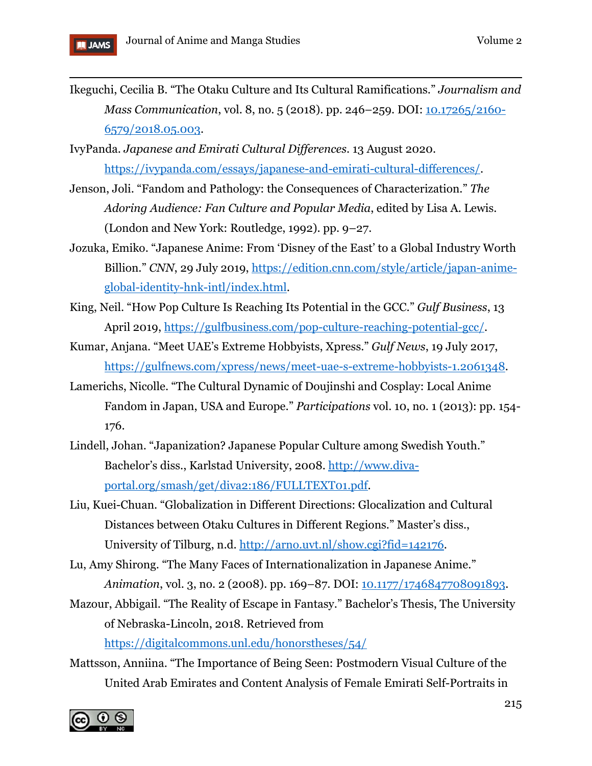- Ikeguchi, Cecilia B. "The Otaku Culture and Its Cultural Ramifications." *Journalism and Mass Communication*, vol. 8, no. 5 (2018). pp. 246–259. DOI: [10.17265/2160-](https://doi.org/10.17265/2160-6579/2018.05.003) [6579/2018.05.003.](https://doi.org/10.17265/2160-6579/2018.05.003)
- IvyPanda. *Japanese and Emirati Cultural Differences*. 13 August 2020. [https://ivypanda.com/essays/japanese-and-emirati-cultural-differences/.](https://ivypanda.com/essays/japanese-and-emirati-cultural-differences/)
- Jenson, Joli. "Fandom and Pathology: the Consequences of Characterization." *The Adoring Audience: Fan Culture and Popular Media*, edited by Lisa A. Lewis. (London and New York: Routledge, 1992). pp. 9–27.
- Jozuka, Emiko. "Japanese Anime: From 'Disney of the East' to a Global Industry Worth Billion." *CNN*, 29 July 2019, [https://edition.cnn.com/style/article/japan-anime](https://edition.cnn.com/style/article/japan-anime-global-identity-hnk-intl/index.html)[global-identity-hnk-intl/index.html.](https://edition.cnn.com/style/article/japan-anime-global-identity-hnk-intl/index.html)
- King, Neil. "How Pop Culture Is Reaching Its Potential in the GCC." *Gulf Business*, 13 April 2019, [https://gulfbusiness.com/pop-culture-reaching-potential-gcc/.](https://gulfbusiness.com/pop-culture-reaching-potential-gcc/)
- Kumar, Anjana. "Meet UAE's Extreme Hobbyists, Xpress." *Gulf News*, 19 July 2017, [https://gulfnews.com/xpress/news/meet-uae-s-extreme-hobbyists-1.2061348.](https://gulfnews.com/xpress/news/meet-uae-s-extreme-hobbyists-1.2061348)
- Lamerichs, Nicolle. "The Cultural Dynamic of Doujinshi and Cosplay: Local Anime Fandom in Japan, USA and Europe." *Participations* vol. 10, no. 1 (2013): pp. 154- 176.
- Lindell, Johan. "Japanization? Japanese Popular Culture among Swedish Youth." Bachelor's diss., Karlstad University, 2008. [http://www.diva](http://www.diva-portal.org/smash/get/diva2:186/FULLTEXT01.pdf)[portal.org/smash/get/diva2:186/FULLTEXT01.pdf.](http://www.diva-portal.org/smash/get/diva2:186/FULLTEXT01.pdf)
- Liu, Kuei-Chuan. "Globalization in Different Directions: Glocalization and Cultural Distances between Otaku Cultures in Different Regions." Master's diss., University of Tilburg, n.d. [http://arno.uvt.nl/show.cgi?fid=142176.](http://arno.uvt.nl/show.cgi?fid=142176)
- Lu, Amy Shirong. "The Many Faces of Internationalization in Japanese Anime." *Animation*, vol. 3, no. 2 (2008). pp. 169–87. DOI:  $\frac{10.1177}{17.46847708091893}$ .
- Mazour, Abbigail. "The Reality of Escape in Fantasy." Bachelor's Thesis, The University of Nebraska-Lincoln, 2018. Retrieved from <https://digitalcommons.unl.edu/honorstheses/54/>
- Mattsson, Anniina. "The Importance of Being Seen: Postmodern Visual Culture of the United Arab Emirates and Content Analysis of Female Emirati Self-Portraits in

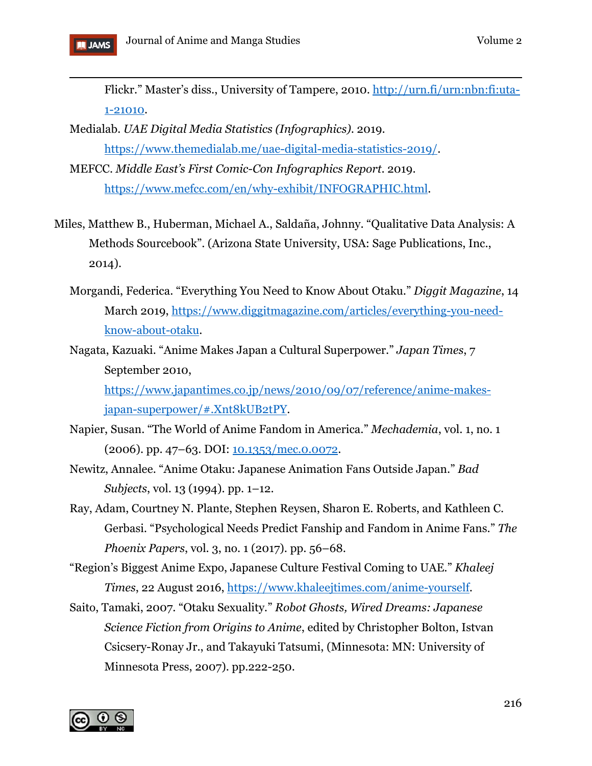

Flickr." Master's diss., University of Tampere, 2010. [http://urn.fi/urn:nbn:fi:uta-](http://urn.fi/urn:nbn:fi:uta-1-21010)[1-21010.](http://urn.fi/urn:nbn:fi:uta-1-21010)

- Medialab. *UAE Digital Media Statistics (Infographics)*. 2019. [https://www.themedialab.me/uae-digital-media-statistics-2019/.](https://www.themedialab.me/uae-digital-media-statistics-2019/)
- MEFCC. *Middle East's First Comic-Con Infographics Report*. 2019. [https://www.mefcc.com/en/why-exhibit/INFOGRAPHIC.html.](https://www.mefcc.com/en/why-exhibit/INFOGRAPHIC.html)
- Miles, Matthew B., Huberman, Michael A., Saldaña, Johnny. "Qualitative Data Analysis: A Methods Sourcebook". (Arizona State University, USA: Sage Publications, Inc., 2014).
	- Morgandi, Federica. "Everything You Need to Know About Otaku." *Diggit Magazine*, 14 March 2019, [https://www.diggitmagazine.com/articles/everything-you-need](https://www.diggitmagazine.com/articles/everything-you-need-know-about-otaku)[know-about-otaku.](https://www.diggitmagazine.com/articles/everything-you-need-know-about-otaku)
	- Nagata, Kazuaki. "Anime Makes Japan a Cultural Superpower." *Japan Times*, 7 September 2010,

[https://www.japantimes.co.jp/news/2010/09/07/reference/anime-makes](https://www.japantimes.co.jp/news/2010/09/07/reference/anime-makes-japan-superpower/#.Xnt8kUB2tPY)[japan-superpower/#.Xnt8kUB2tPY.](https://www.japantimes.co.jp/news/2010/09/07/reference/anime-makes-japan-superpower/#.Xnt8kUB2tPY)

- Napier, Susan. "The World of Anime Fandom in America." *Mechademia*, vol. 1, no. 1 (2006). pp. 47–63. DOI: [10.1353/mec.0.0072.](https://doi.org/10.1353/mec.0.0072)
- Newitz, Annalee. "Anime Otaku: Japanese Animation Fans Outside Japan." *Bad Subjects*, vol. 13 (1994). pp. 1–12.
- Ray, Adam, Courtney N. Plante, Stephen Reysen, Sharon E. Roberts, and Kathleen C. Gerbasi*.* "Psychological Needs Predict Fanship and Fandom in Anime Fans." *The Phoenix Papers*, vol. 3, no. 1 (2017). pp. 56–68.
- "Region's Biggest Anime Expo, Japanese Culture Festival Coming to UAE." *Khaleej Times*, 22 August 2016, [https://www.khaleejtimes.com/anime-yourself.](https://www.khaleejtimes.com/anime-yourself)
- Saito, Tamaki, 2007. "Otaku Sexuality*.*" *Robot Ghosts, Wired Dreams: Japanese Science Fiction from Origins to Anime*, edited by Christopher Bolton, Istvan Csicsery-Ronay Jr., and Takayuki Tatsumi, (Minnesota: MN: University of Minnesota Press, 2007). pp.222-250.